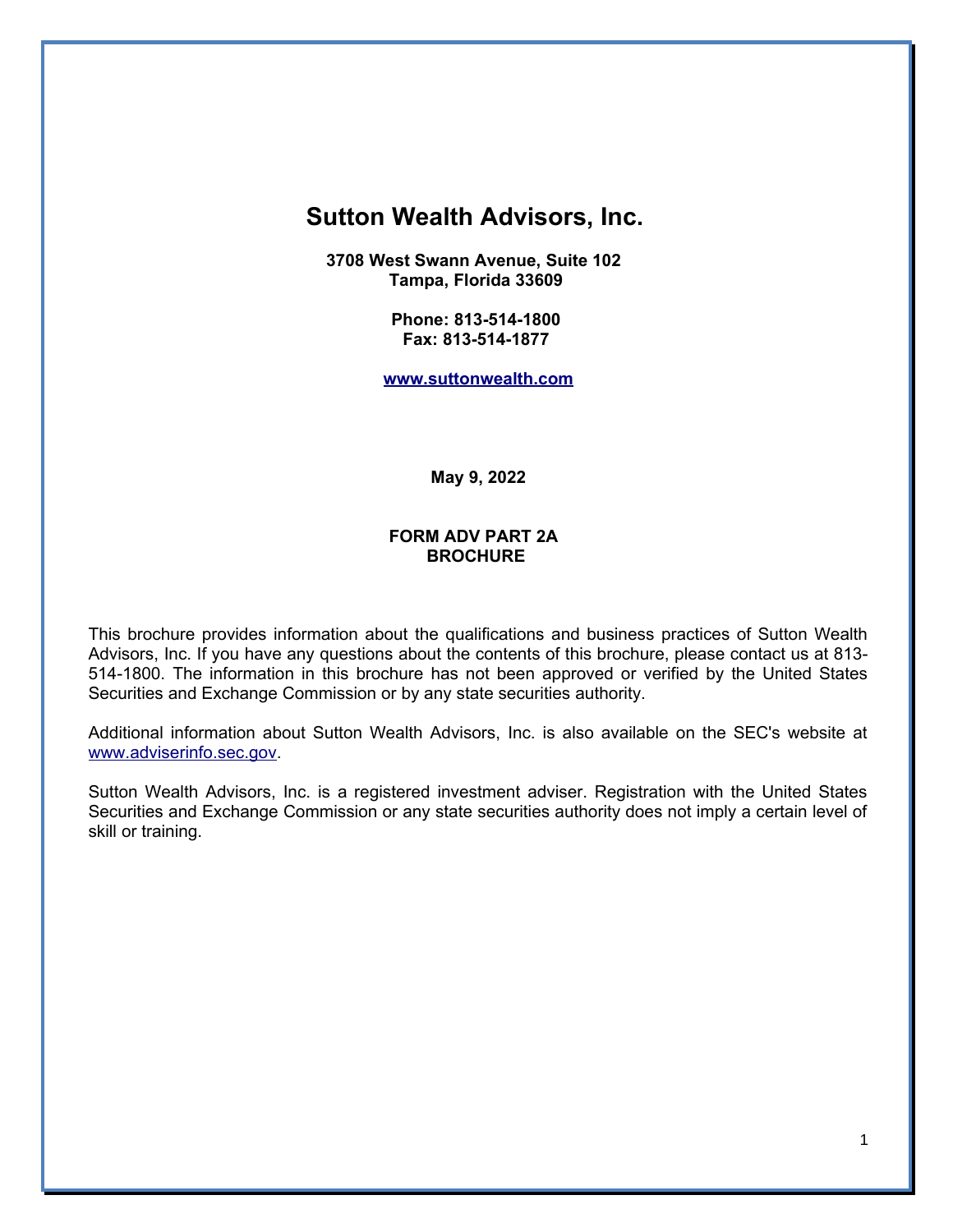# **Sutton Wealth Advisors, Inc.**

**3708 West Swann Avenue, Suite 102 Tampa, Florida 33609** 

> **Phone: 813-514-1800 Fax: 813-514-1877**

**[www.suttonwealth.com](http://www.suttonwealth.com/)**

**May 9, 2022**

#### **FORM ADV PART 2A BROCHURE**

This brochure provides information about the qualifications and business practices of Sutton Wealth Advisors, Inc. If you have any questions about the contents of this brochure, please contact us at 813- 514-1800. The information in this brochure has not been approved or verified by the United States Securities and Exchange Commission or by any state securities authority.

Additional information about Sutton Wealth Advisors, Inc. is also available on the SEC's website at [www.adviserinfo.sec.gov.](http://www.adviserinfo.sec.gov/)

Sutton Wealth Advisors, Inc. is a registered investment adviser. Registration with the United States Securities and Exchange Commission or any state securities authority does not imply a certain level of skill or training.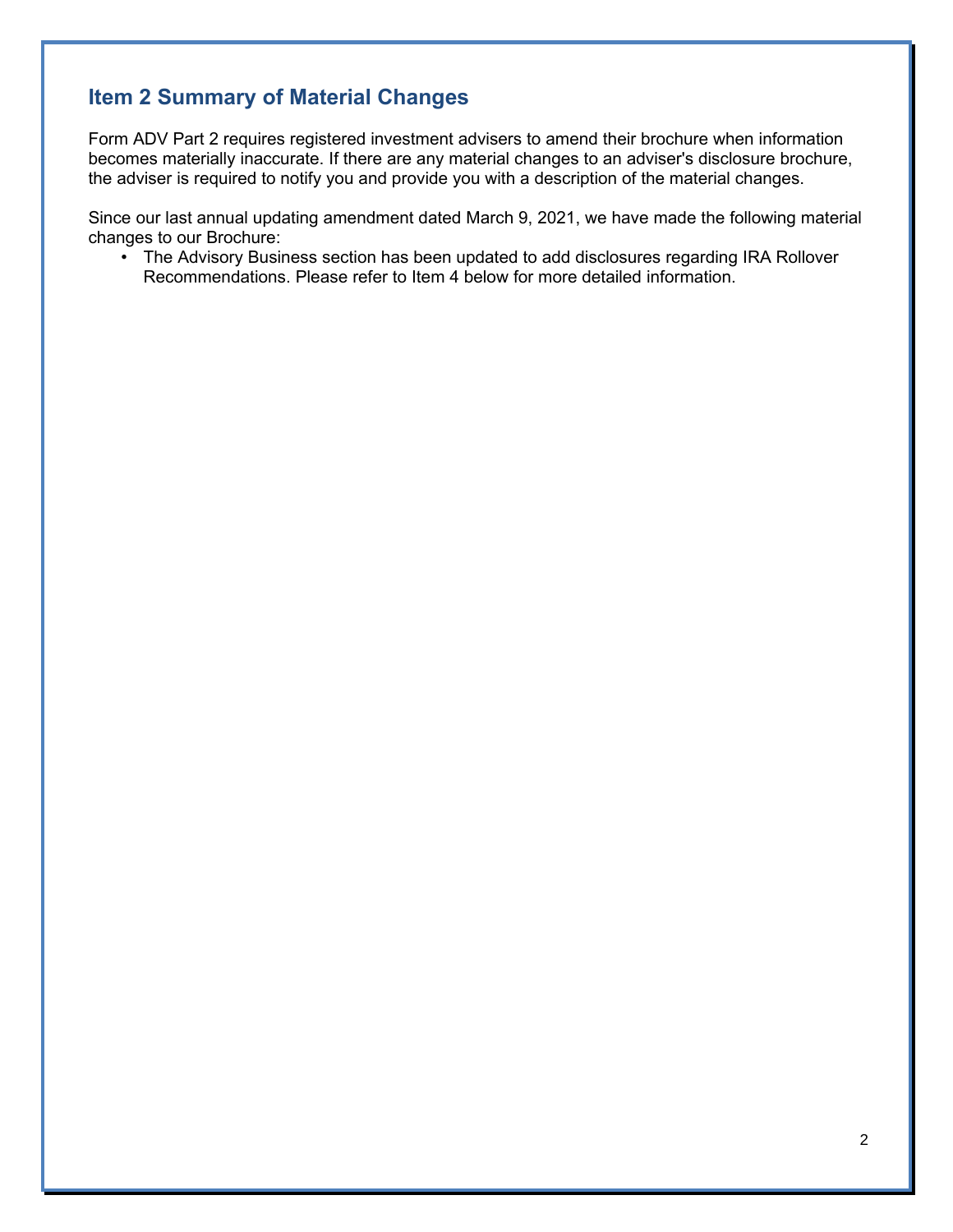# **Item 2 Summary of Material Changes**

Form ADV Part 2 requires registered investment advisers to amend their brochure when information becomes materially inaccurate. If there are any material changes to an adviser's disclosure brochure, the adviser is required to notify you and provide you with a description of the material changes.

Since our last annual updating amendment dated March 9, 2021, we have made the following material changes to our Brochure:

• The Advisory Business section has been updated to add disclosures regarding IRA Rollover Recommendations. Please refer to Item 4 below for more detailed information.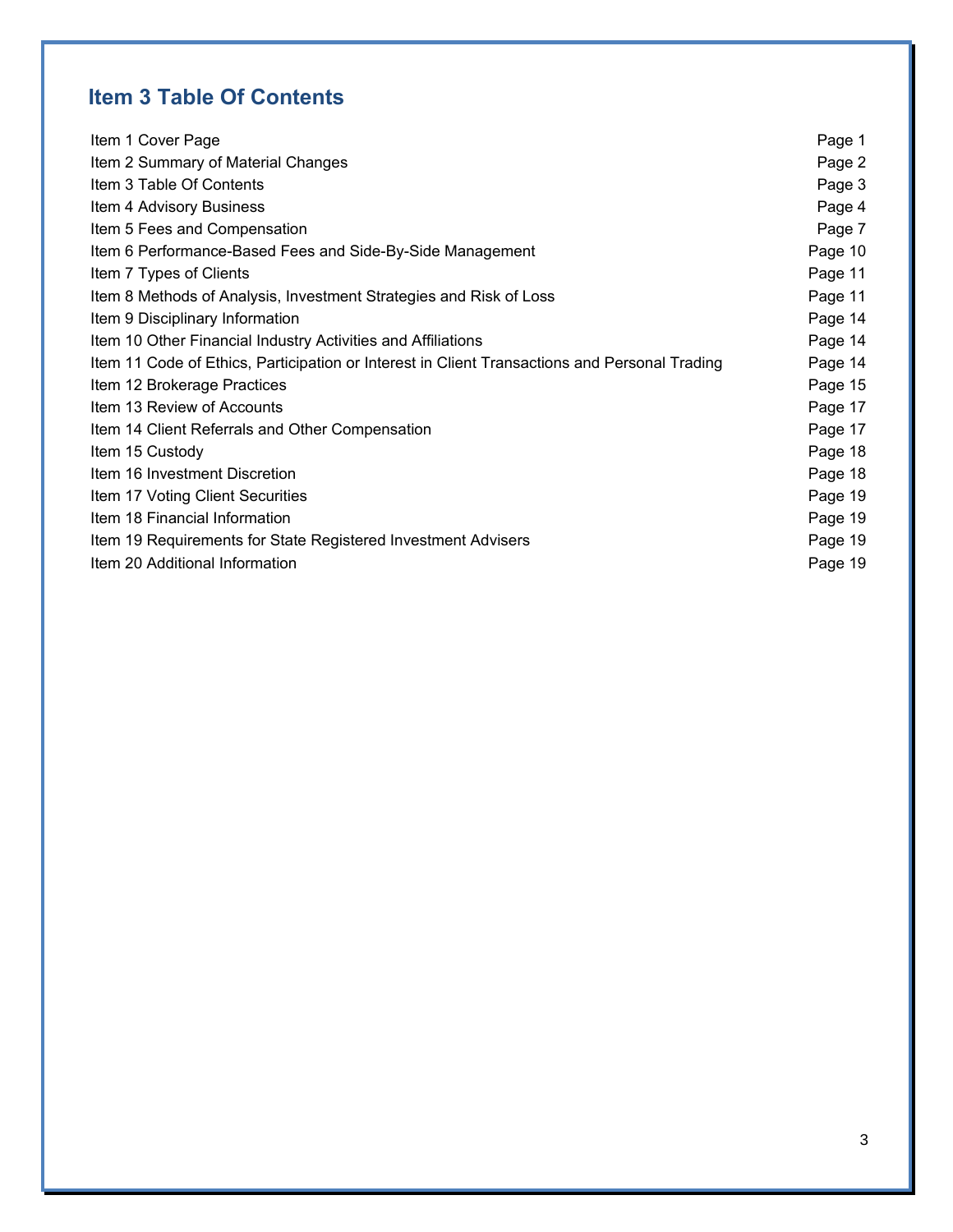# **Item 3 Table Of Contents**

| Item 1 Cover Page                                                                             | Page 1  |
|-----------------------------------------------------------------------------------------------|---------|
| Item 2 Summary of Material Changes                                                            | Page 2  |
| Item 3 Table Of Contents                                                                      | Page 3  |
| Item 4 Advisory Business                                                                      | Page 4  |
| Item 5 Fees and Compensation                                                                  | Page 7  |
| Item 6 Performance-Based Fees and Side-By-Side Management                                     | Page 10 |
| Item 7 Types of Clients                                                                       | Page 11 |
| Item 8 Methods of Analysis, Investment Strategies and Risk of Loss                            | Page 11 |
| Item 9 Disciplinary Information                                                               | Page 14 |
| Item 10 Other Financial Industry Activities and Affiliations                                  | Page 14 |
| Item 11 Code of Ethics, Participation or Interest in Client Transactions and Personal Trading | Page 14 |
| Item 12 Brokerage Practices                                                                   | Page 15 |
| Item 13 Review of Accounts                                                                    | Page 17 |
| Item 14 Client Referrals and Other Compensation                                               | Page 17 |
| Item 15 Custody                                                                               | Page 18 |
| Item 16 Investment Discretion                                                                 | Page 18 |
| Item 17 Voting Client Securities                                                              | Page 19 |
| Item 18 Financial Information                                                                 | Page 19 |
| Item 19 Requirements for State Registered Investment Advisers                                 | Page 19 |
| Item 20 Additional Information                                                                |         |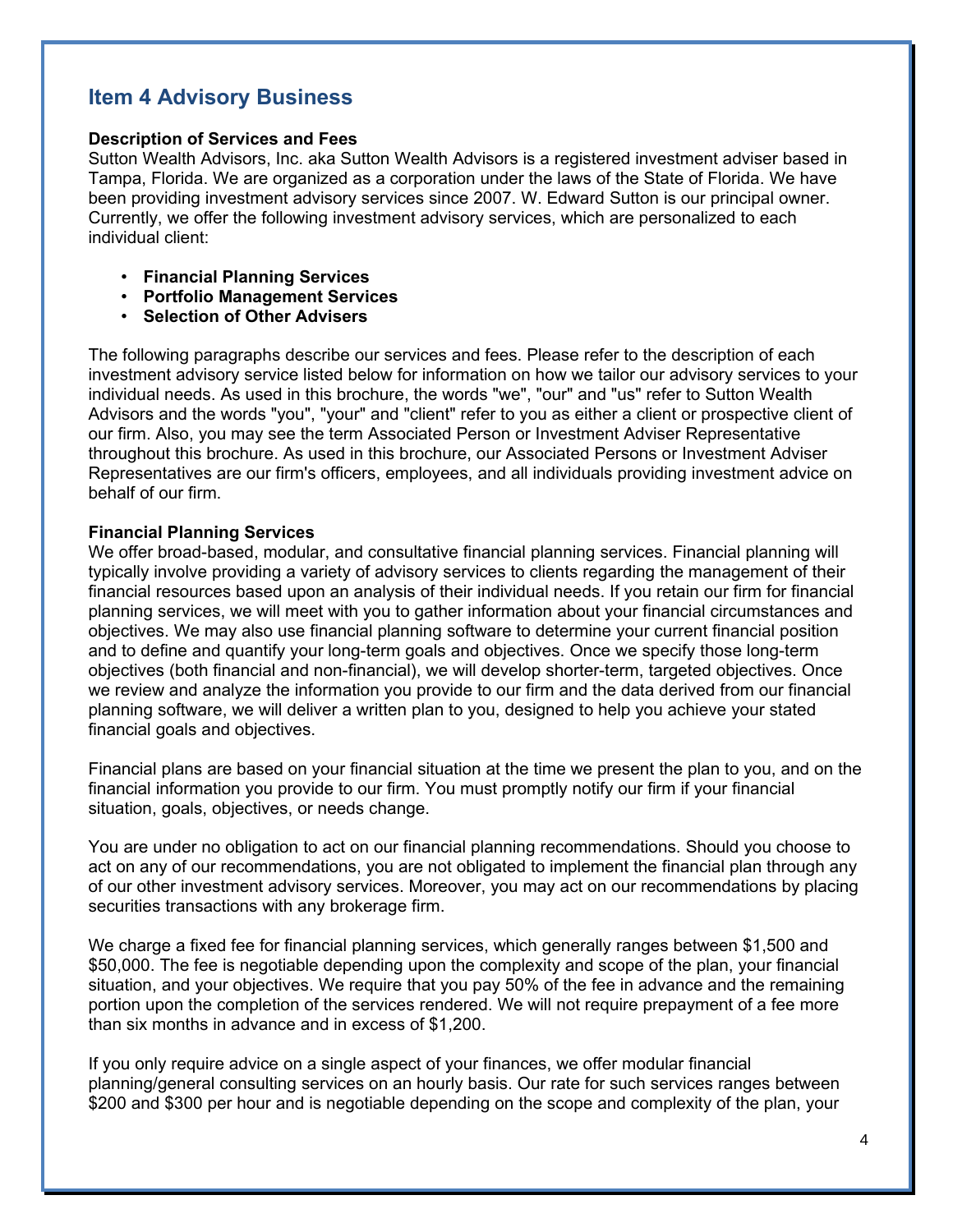## **Item 4 Advisory Business**

#### **Description of Services and Fees**

Sutton Wealth Advisors, Inc. aka Sutton Wealth Advisors is a registered investment adviser based in Tampa, Florida. We are organized as a corporation under the laws of the State of Florida. We have been providing investment advisory services since 2007. W. Edward Sutton is our principal owner. Currently, we offer the following investment advisory services, which are personalized to each individual client:

- **Financial Planning Services**
- **Portfolio Management Services**
- **Selection of Other Advisers**

The following paragraphs describe our services and fees. Please refer to the description of each investment advisory service listed below for information on how we tailor our advisory services to your individual needs. As used in this brochure, the words "we", "our" and "us" refer to Sutton Wealth Advisors and the words "you", "your" and "client" refer to you as either a client or prospective client of our firm. Also, you may see the term Associated Person or Investment Adviser Representative throughout this brochure. As used in this brochure, our Associated Persons or Investment Adviser Representatives are our firm's officers, employees, and all individuals providing investment advice on behalf of our firm.

### **Financial Planning Services**

We offer broad-based, modular, and consultative financial planning services. Financial planning will typically involve providing a variety of advisory services to clients regarding the management of their financial resources based upon an analysis of their individual needs. If you retain our firm for financial planning services, we will meet with you to gather information about your financial circumstances and objectives. We may also use financial planning software to determine your current financial position and to define and quantify your long-term goals and objectives. Once we specify those long-term objectives (both financial and non-financial), we will develop shorter-term, targeted objectives. Once we review and analyze the information you provide to our firm and the data derived from our financial planning software, we will deliver a written plan to you, designed to help you achieve your stated financial goals and objectives.

Financial plans are based on your financial situation at the time we present the plan to you, and on the financial information you provide to our firm. You must promptly notify our firm if your financial situation, goals, objectives, or needs change.

You are under no obligation to act on our financial planning recommendations. Should you choose to act on any of our recommendations, you are not obligated to implement the financial plan through any of our other investment advisory services. Moreover, you may act on our recommendations by placing securities transactions with any brokerage firm.

We charge a fixed fee for financial planning services, which generally ranges between \$1,500 and \$50,000. The fee is negotiable depending upon the complexity and scope of the plan, your financial situation, and your objectives. We require that you pay 50% of the fee in advance and the remaining portion upon the completion of the services rendered. We will not require prepayment of a fee more than six months in advance and in excess of \$1,200.

If you only require advice on a single aspect of your finances, we offer modular financial planning/general consulting services on an hourly basis. Our rate for such services ranges between \$200 and \$300 per hour and is negotiable depending on the scope and complexity of the plan, your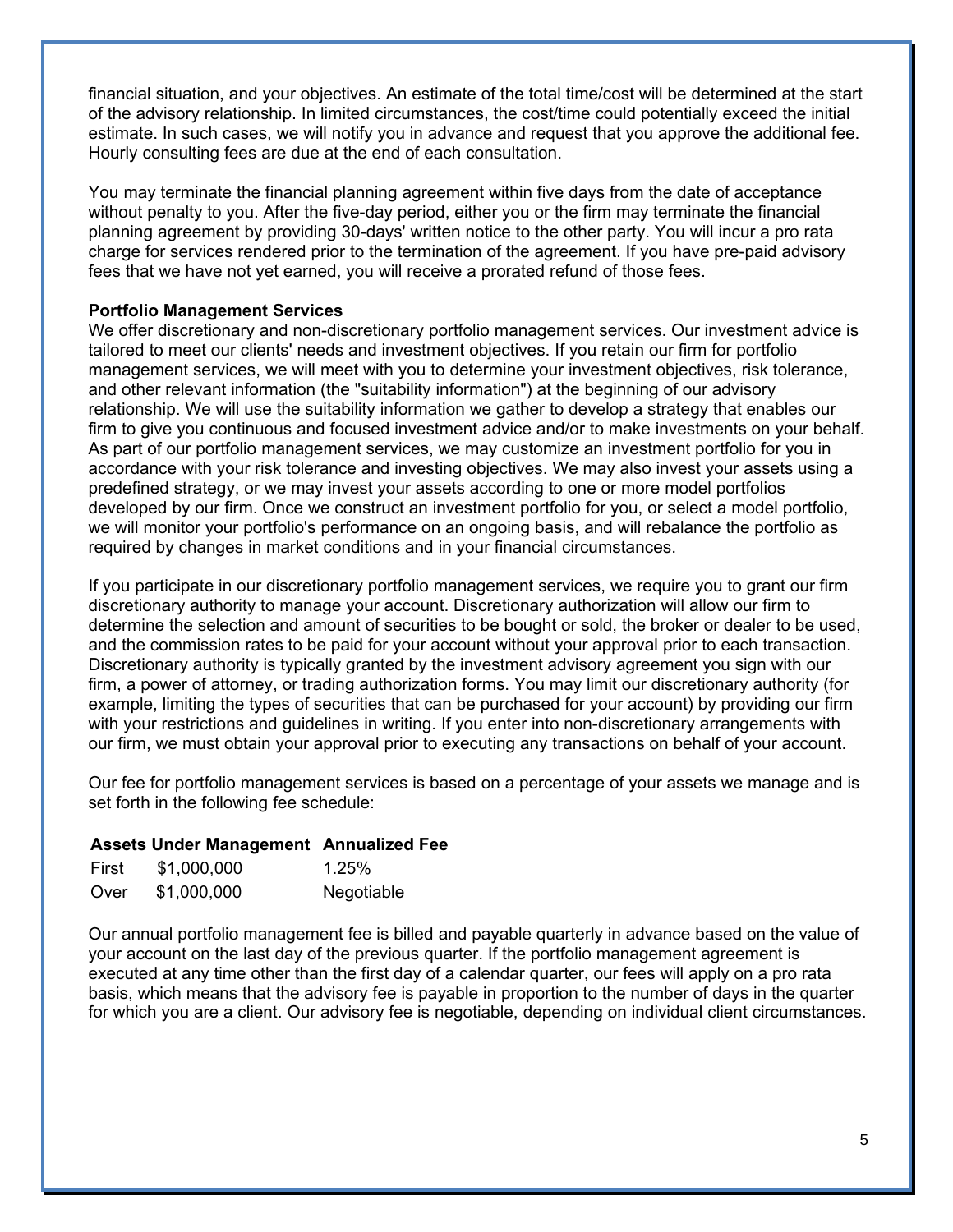financial situation, and your objectives. An estimate of the total time/cost will be determined at the start of the advisory relationship. In limited circumstances, the cost/time could potentially exceed the initial estimate. In such cases, we will notify you in advance and request that you approve the additional fee. Hourly consulting fees are due at the end of each consultation.

You may terminate the financial planning agreement within five days from the date of acceptance without penalty to you. After the five-day period, either you or the firm may terminate the financial planning agreement by providing 30-days' written notice to the other party. You will incur a pro rata charge for services rendered prior to the termination of the agreement. If you have pre-paid advisory fees that we have not yet earned, you will receive a prorated refund of those fees.

#### **Portfolio Management Services**

We offer discretionary and non-discretionary portfolio management services. Our investment advice is tailored to meet our clients' needs and investment objectives. If you retain our firm for portfolio management services, we will meet with you to determine your investment objectives, risk tolerance, and other relevant information (the "suitability information") at the beginning of our advisory relationship. We will use the suitability information we gather to develop a strategy that enables our firm to give you continuous and focused investment advice and/or to make investments on your behalf. As part of our portfolio management services, we may customize an investment portfolio for you in accordance with your risk tolerance and investing objectives. We may also invest your assets using a predefined strategy, or we may invest your assets according to one or more model portfolios developed by our firm. Once we construct an investment portfolio for you, or select a model portfolio, we will monitor your portfolio's performance on an ongoing basis, and will rebalance the portfolio as required by changes in market conditions and in your financial circumstances.

If you participate in our discretionary portfolio management services, we require you to grant our firm discretionary authority to manage your account. Discretionary authorization will allow our firm to determine the selection and amount of securities to be bought or sold, the broker or dealer to be used, and the commission rates to be paid for your account without your approval prior to each transaction. Discretionary authority is typically granted by the investment advisory agreement you sign with our firm, a power of attorney, or trading authorization forms. You may limit our discretionary authority (for example, limiting the types of securities that can be purchased for your account) by providing our firm with your restrictions and guidelines in writing. If you enter into non-discretionary arrangements with our firm, we must obtain your approval prior to executing any transactions on behalf of your account.

Our fee for portfolio management services is based on a percentage of your assets we manage and is set forth in the following fee schedule:

### **Assets Under Management Annualized Fee**

| First | \$1,000,000 | 1.25%      |
|-------|-------------|------------|
| Over  | \$1,000,000 | Negotiable |

Our annual portfolio management fee is billed and payable quarterly in advance based on the value of your account on the last day of the previous quarter. If the portfolio management agreement is executed at any time other than the first day of a calendar quarter, our fees will apply on a pro rata basis, which means that the advisory fee is payable in proportion to the number of days in the quarter for which you are a client. Our advisory fee is negotiable, depending on individual client circumstances.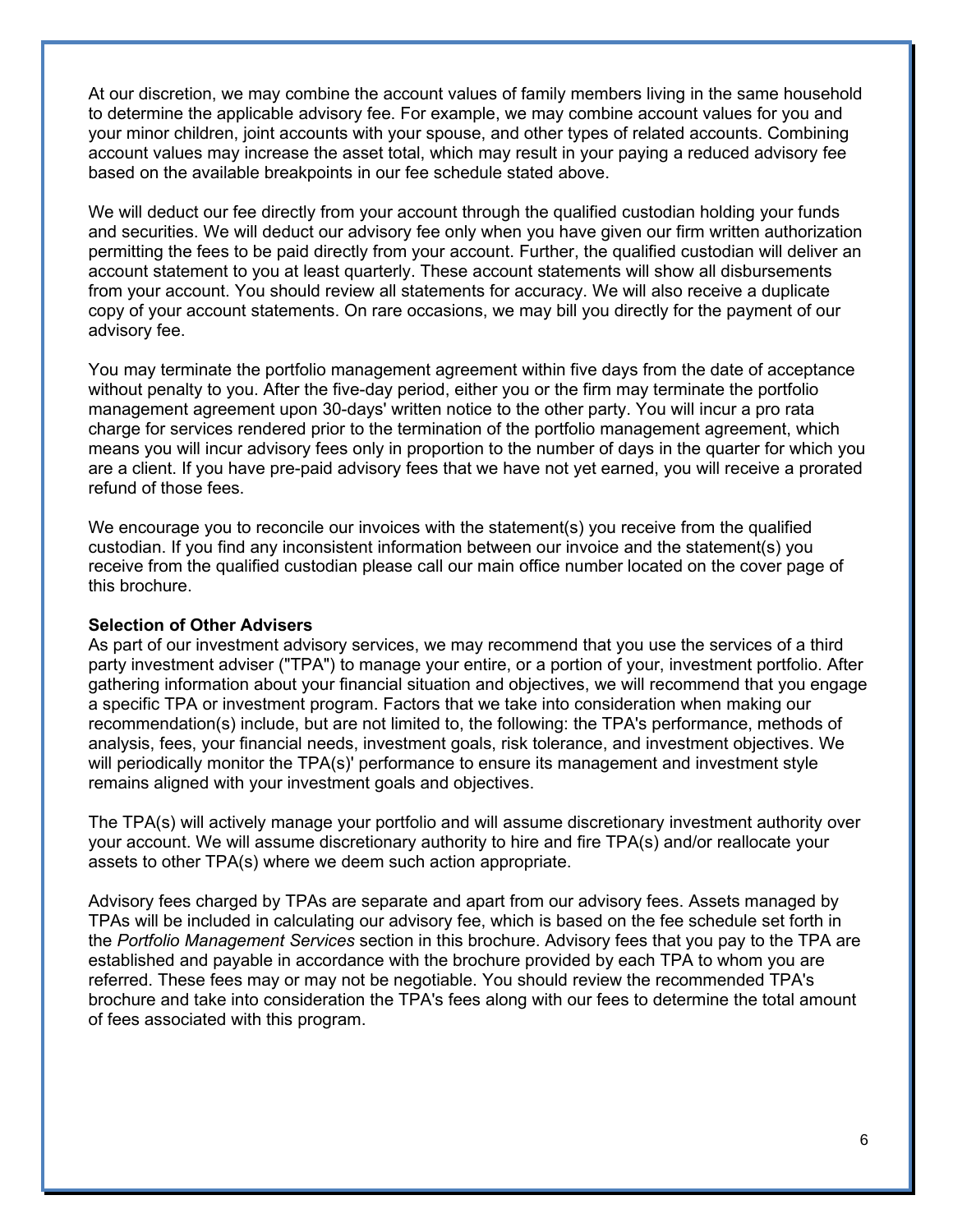At our discretion, we may combine the account values of family members living in the same household to determine the applicable advisory fee. For example, we may combine account values for you and your minor children, joint accounts with your spouse, and other types of related accounts. Combining account values may increase the asset total, which may result in your paying a reduced advisory fee based on the available breakpoints in our fee schedule stated above.

We will deduct our fee directly from your account through the qualified custodian holding your funds and securities. We will deduct our advisory fee only when you have given our firm written authorization permitting the fees to be paid directly from your account. Further, the qualified custodian will deliver an account statement to you at least quarterly. These account statements will show all disbursements from your account. You should review all statements for accuracy. We will also receive a duplicate copy of your account statements. On rare occasions, we may bill you directly for the payment of our advisory fee.

You may terminate the portfolio management agreement within five days from the date of acceptance without penalty to you. After the five-day period, either you or the firm may terminate the portfolio management agreement upon 30-days' written notice to the other party. You will incur a pro rata charge for services rendered prior to the termination of the portfolio management agreement, which means you will incur advisory fees only in proportion to the number of days in the quarter for which you are a client. If you have pre-paid advisory fees that we have not yet earned, you will receive a prorated refund of those fees.

We encourage you to reconcile our invoices with the statement(s) you receive from the qualified custodian. If you find any inconsistent information between our invoice and the statement(s) you receive from the qualified custodian please call our main office number located on the cover page of this brochure.

#### **Selection of Other Advisers**

As part of our investment advisory services, we may recommend that you use the services of a third party investment adviser ("TPA") to manage your entire, or a portion of your, investment portfolio. After gathering information about your financial situation and objectives, we will recommend that you engage a specific TPA or investment program. Factors that we take into consideration when making our recommendation(s) include, but are not limited to, the following: the TPA's performance, methods of analysis, fees, your financial needs, investment goals, risk tolerance, and investment objectives. We will periodically monitor the TPA(s)' performance to ensure its management and investment style remains aligned with your investment goals and objectives.

The TPA(s) will actively manage your portfolio and will assume discretionary investment authority over your account. We will assume discretionary authority to hire and fire TPA(s) and/or reallocate your assets to other TPA(s) where we deem such action appropriate.

Advisory fees charged by TPAs are separate and apart from our advisory fees. Assets managed by TPAs will be included in calculating our advisory fee, which is based on the fee schedule set forth in the *Portfolio Management Services* section in this brochure. Advisory fees that you pay to the TPA are established and payable in accordance with the brochure provided by each TPA to whom you are referred. These fees may or may not be negotiable. You should review the recommended TPA's brochure and take into consideration the TPA's fees along with our fees to determine the total amount of fees associated with this program.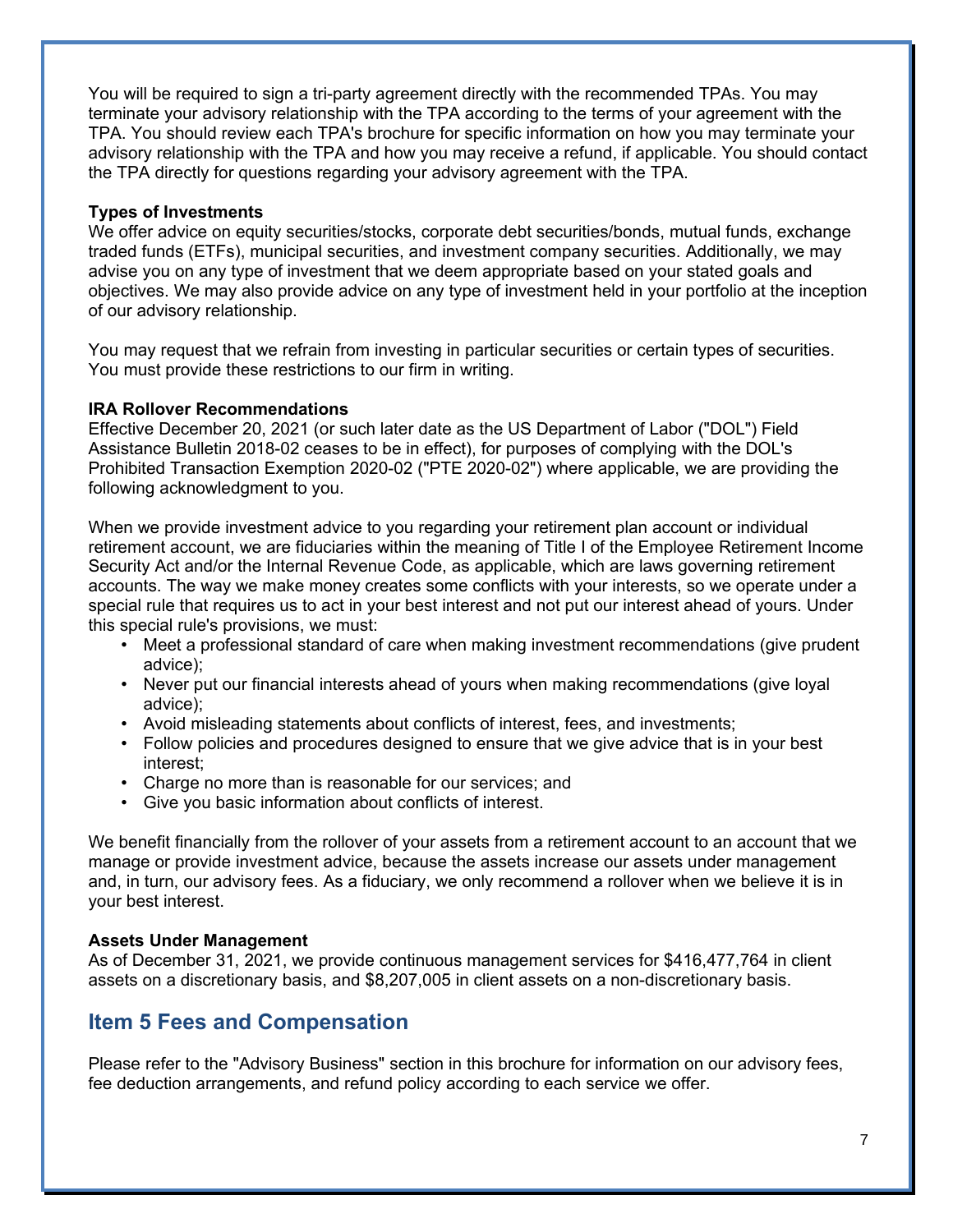You will be required to sign a tri-party agreement directly with the recommended TPAs. You may terminate your advisory relationship with the TPA according to the terms of your agreement with the TPA. You should review each TPA's brochure for specific information on how you may terminate your advisory relationship with the TPA and how you may receive a refund, if applicable. You should contact the TPA directly for questions regarding your advisory agreement with the TPA.

#### **Types of Investments**

We offer advice on equity securities/stocks, corporate debt securities/bonds, mutual funds, exchange traded funds (ETFs), municipal securities, and investment company securities. Additionally, we may advise you on any type of investment that we deem appropriate based on your stated goals and objectives. We may also provide advice on any type of investment held in your portfolio at the inception of our advisory relationship.

You may request that we refrain from investing in particular securities or certain types of securities. You must provide these restrictions to our firm in writing.

#### **IRA Rollover Recommendations**

Effective December 20, 2021 (or such later date as the US Department of Labor ("DOL") Field Assistance Bulletin 2018-02 ceases to be in effect), for purposes of complying with the DOL's Prohibited Transaction Exemption 2020-02 ("PTE 2020-02") where applicable, we are providing the following acknowledgment to you.

When we provide investment advice to you regarding your retirement plan account or individual retirement account, we are fiduciaries within the meaning of Title I of the Employee Retirement Income Security Act and/or the Internal Revenue Code, as applicable, which are laws governing retirement accounts. The way we make money creates some conflicts with your interests, so we operate under a special rule that requires us to act in your best interest and not put our interest ahead of yours. Under this special rule's provisions, we must:

- Meet a professional standard of care when making investment recommendations (give prudent advice);
- Never put our financial interests ahead of yours when making recommendations (give loyal advice);
- Avoid misleading statements about conflicts of interest, fees, and investments;
- Follow policies and procedures designed to ensure that we give advice that is in your best interest;
- Charge no more than is reasonable for our services; and
- Give you basic information about conflicts of interest.

We benefit financially from the rollover of your assets from a retirement account to an account that we manage or provide investment advice, because the assets increase our assets under management and, in turn, our advisory fees. As a fiduciary, we only recommend a rollover when we believe it is in your best interest.

#### **Assets Under Management**

As of December 31, 2021, we provide continuous management services for \$416,477,764 in client assets on a discretionary basis, and \$8,207,005 in client assets on a non-discretionary basis.

## **Item 5 Fees and Compensation**

Please refer to the "Advisory Business" section in this brochure for information on our advisory fees, fee deduction arrangements, and refund policy according to each service we offer.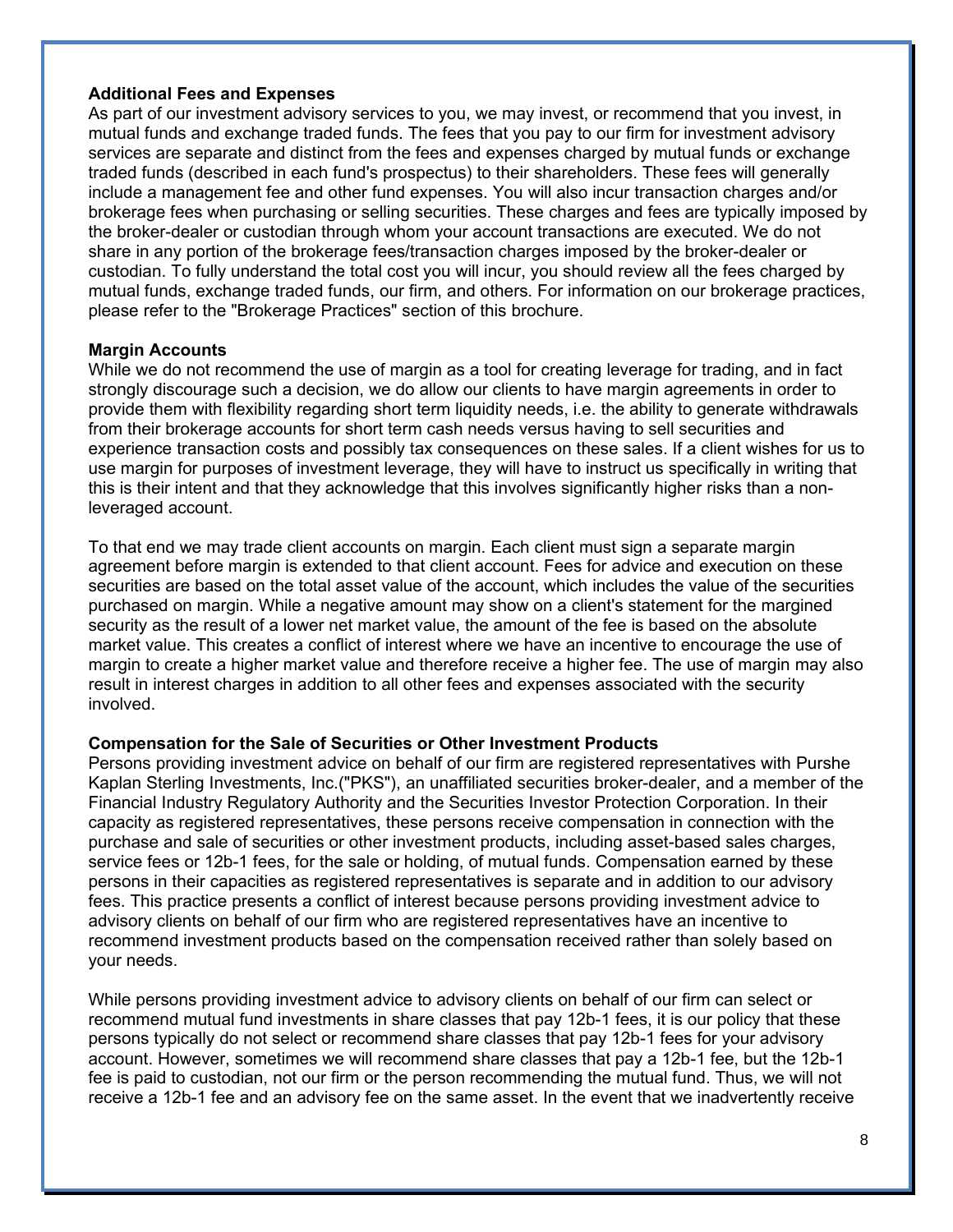#### **Additional Fees and Expenses**

As part of our investment advisory services to you, we may invest, or recommend that you invest, in mutual funds and exchange traded funds. The fees that you pay to our firm for investment advisory services are separate and distinct from the fees and expenses charged by mutual funds or exchange traded funds (described in each fund's prospectus) to their shareholders. These fees will generally include a management fee and other fund expenses. You will also incur transaction charges and/or brokerage fees when purchasing or selling securities. These charges and fees are typically imposed by the broker-dealer or custodian through whom your account transactions are executed. We do not share in any portion of the brokerage fees/transaction charges imposed by the broker-dealer or custodian. To fully understand the total cost you will incur, you should review all the fees charged by mutual funds, exchange traded funds, our firm, and others. For information on our brokerage practices, please refer to the "Brokerage Practices" section of this brochure.

#### **Margin Accounts**

While we do not recommend the use of margin as a tool for creating leverage for trading, and in fact strongly discourage such a decision, we do allow our clients to have margin agreements in order to provide them with flexibility regarding short term liquidity needs, i.e. the ability to generate withdrawals from their brokerage accounts for short term cash needs versus having to sell securities and experience transaction costs and possibly tax consequences on these sales. If a client wishes for us to use margin for purposes of investment leverage, they will have to instruct us specifically in writing that this is their intent and that they acknowledge that this involves significantly higher risks than a nonleveraged account.

To that end we may trade client accounts on margin. Each client must sign a separate margin agreement before margin is extended to that client account. Fees for advice and execution on these securities are based on the total asset value of the account, which includes the value of the securities purchased on margin. While a negative amount may show on a client's statement for the margined security as the result of a lower net market value, the amount of the fee is based on the absolute market value. This creates a conflict of interest where we have an incentive to encourage the use of margin to create a higher market value and therefore receive a higher fee. The use of margin may also result in interest charges in addition to all other fees and expenses associated with the security involved.

#### **Compensation for the Sale of Securities or Other Investment Products**

Persons providing investment advice on behalf of our firm are registered representatives with Purshe Kaplan Sterling Investments, Inc.("PKS"), an unaffiliated securities broker-dealer, and a member of the Financial Industry Regulatory Authority and the Securities Investor Protection Corporation. In their capacity as registered representatives, these persons receive compensation in connection with the purchase and sale of securities or other investment products, including asset-based sales charges, service fees or 12b-1 fees, for the sale or holding, of mutual funds. Compensation earned by these persons in their capacities as registered representatives is separate and in addition to our advisory fees. This practice presents a conflict of interest because persons providing investment advice to advisory clients on behalf of our firm who are registered representatives have an incentive to recommend investment products based on the compensation received rather than solely based on your needs.

While persons providing investment advice to advisory clients on behalf of our firm can select or recommend mutual fund investments in share classes that pay 12b-1 fees, it is our policy that these persons typically do not select or recommend share classes that pay 12b-1 fees for your advisory account. However, sometimes we will recommend share classes that pay a 12b-1 fee, but the 12b-1 fee is paid to custodian, not our firm or the person recommending the mutual fund. Thus, we will not receive a 12b-1 fee and an advisory fee on the same asset. In the event that we inadvertently receive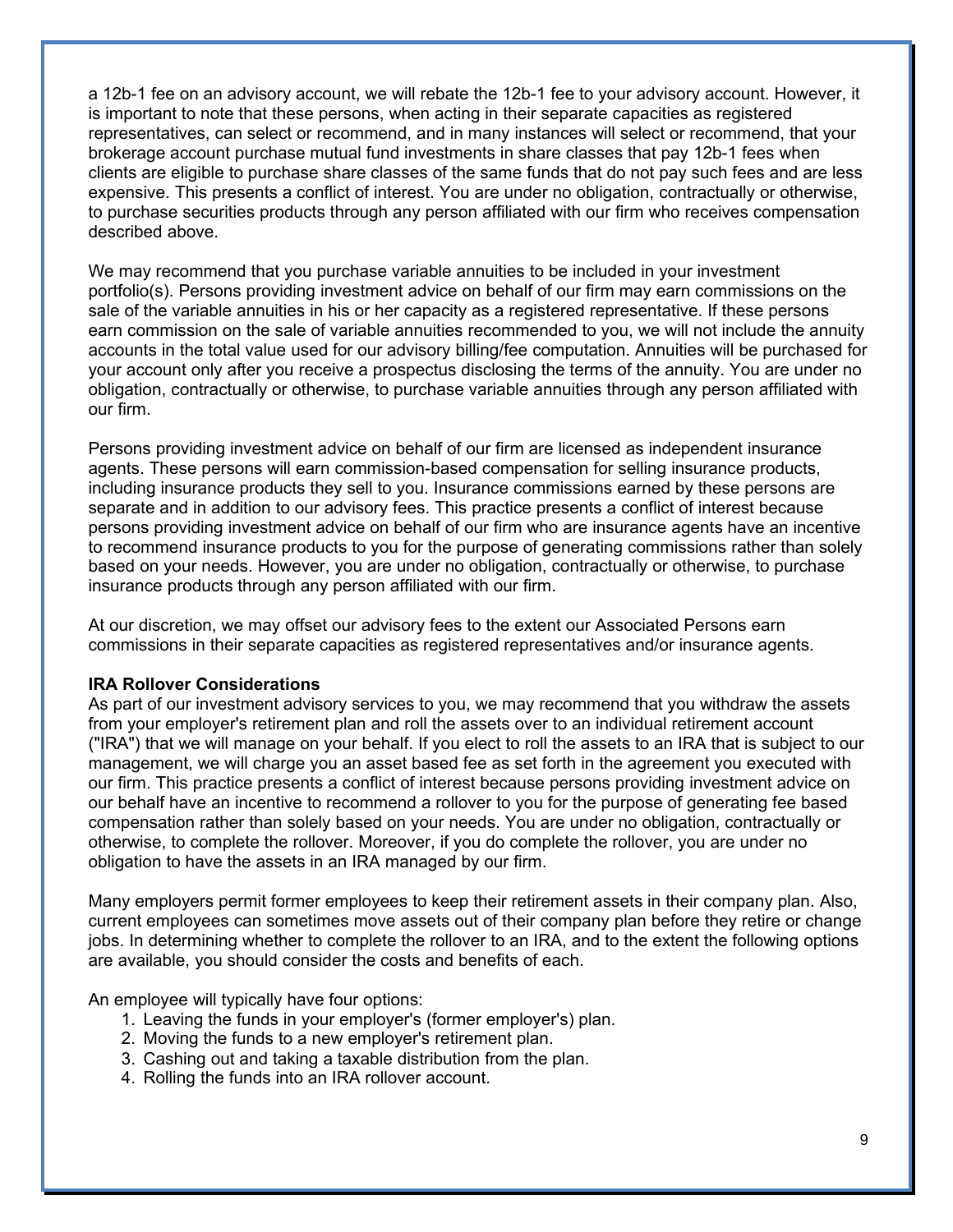a 12b-1 fee on an advisory account, we will rebate the 12b-1 fee to your advisory account. However, it is important to note that these persons, when acting in their separate capacities as registered representatives, can select or recommend, and in many instances will select or recommend, that your brokerage account purchase mutual fund investments in share classes that pay 12b-1 fees when clients are eligible to purchase share classes of the same funds that do not pay such fees and are less expensive. This presents a conflict of interest. You are under no obligation, contractually or otherwise, to purchase securities products through any person affiliated with our firm who receives compensation described above.

We may recommend that you purchase variable annuities to be included in your investment portfolio(s). Persons providing investment advice on behalf of our firm may earn commissions on the sale of the variable annuities in his or her capacity as a registered representative. If these persons earn commission on the sale of variable annuities recommended to you, we will not include the annuity accounts in the total value used for our advisory billing/fee computation. Annuities will be purchased for your account only after you receive a prospectus disclosing the terms of the annuity. You are under no obligation, contractually or otherwise, to purchase variable annuities through any person affiliated with our firm.

Persons providing investment advice on behalf of our firm are licensed as independent insurance agents. These persons will earn commission-based compensation for selling insurance products, including insurance products they sell to you. Insurance commissions earned by these persons are separate and in addition to our advisory fees. This practice presents a conflict of interest because persons providing investment advice on behalf of our firm who are insurance agents have an incentive to recommend insurance products to you for the purpose of generating commissions rather than solely based on your needs. However, you are under no obligation, contractually or otherwise, to purchase insurance products through any person affiliated with our firm.

At our discretion, we may offset our advisory fees to the extent our Associated Persons earn commissions in their separate capacities as registered representatives and/or insurance agents.

#### **IRA Rollover Considerations**

As part of our investment advisory services to you, we may recommend that you withdraw the assets from your employer's retirement plan and roll the assets over to an individual retirement account ("IRA") that we will manage on your behalf. If you elect to roll the assets to an IRA that is subject to our management, we will charge you an asset based fee as set forth in the agreement you executed with our firm. This practice presents a conflict of interest because persons providing investment advice on our behalf have an incentive to recommend a rollover to you for the purpose of generating fee based compensation rather than solely based on your needs. You are under no obligation, contractually or otherwise, to complete the rollover. Moreover, if you do complete the rollover, you are under no obligation to have the assets in an IRA managed by our firm.

Many employers permit former employees to keep their retirement assets in their company plan. Also, current employees can sometimes move assets out of their company plan before they retire or change jobs. In determining whether to complete the rollover to an IRA, and to the extent the following options are available, you should consider the costs and benefits of each.

An employee will typically have four options:

- 1. Leaving the funds in your employer's (former employer's) plan.
- 2. Moving the funds to a new employer's retirement plan.
- 3. Cashing out and taking a taxable distribution from the plan.
- 4. Rolling the funds into an IRA rollover account.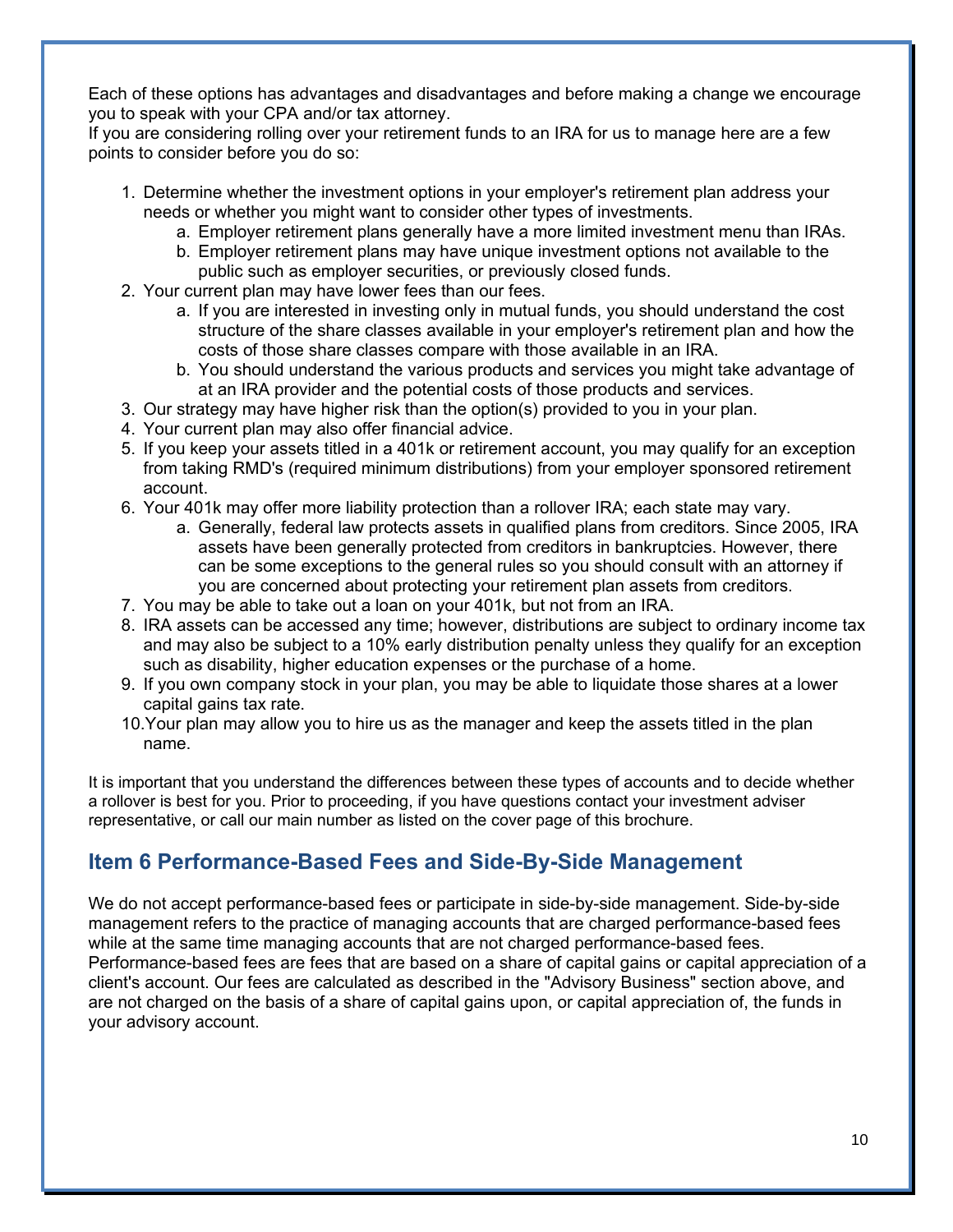Each of these options has advantages and disadvantages and before making a change we encourage you to speak with your CPA and/or tax attorney.

If you are considering rolling over your retirement funds to an IRA for us to manage here are a few points to consider before you do so:

- 1. Determine whether the investment options in your employer's retirement plan address your needs or whether you might want to consider other types of investments.
	- a. Employer retirement plans generally have a more limited investment menu than IRAs.
	- b. Employer retirement plans may have unique investment options not available to the public such as employer securities, or previously closed funds.
- 2. Your current plan may have lower fees than our fees.
	- a. If you are interested in investing only in mutual funds, you should understand the cost structure of the share classes available in your employer's retirement plan and how the costs of those share classes compare with those available in an IRA.
	- b. You should understand the various products and services you might take advantage of at an IRA provider and the potential costs of those products and services.
- 3. Our strategy may have higher risk than the option(s) provided to you in your plan.
- 4. Your current plan may also offer financial advice.
- 5. If you keep your assets titled in a 401k or retirement account, you may qualify for an exception from taking RMD's (required minimum distributions) from your employer sponsored retirement account.
- 6. Your 401k may offer more liability protection than a rollover IRA; each state may vary.
	- a. Generally, federal law protects assets in qualified plans from creditors. Since 2005, IRA assets have been generally protected from creditors in bankruptcies. However, there can be some exceptions to the general rules so you should consult with an attorney if you are concerned about protecting your retirement plan assets from creditors.
- 7. You may be able to take out a loan on your 401k, but not from an IRA.
- 8. IRA assets can be accessed any time; however, distributions are subject to ordinary income tax and may also be subject to a 10% early distribution penalty unless they qualify for an exception such as disability, higher education expenses or the purchase of a home.
- 9. If you own company stock in your plan, you may be able to liquidate those shares at a lower capital gains tax rate.
- 10.Your plan may allow you to hire us as the manager and keep the assets titled in the plan name.

It is important that you understand the differences between these types of accounts and to decide whether a rollover is best for you. Prior to proceeding, if you have questions contact your investment adviser representative, or call our main number as listed on the cover page of this brochure.

# **Item 6 Performance-Based Fees and Side-By-Side Management**

We do not accept performance-based fees or participate in side-by-side management. Side-by-side management refers to the practice of managing accounts that are charged performance-based fees while at the same time managing accounts that are not charged performance-based fees. Performance-based fees are fees that are based on a share of capital gains or capital appreciation of a client's account. Our fees are calculated as described in the "Advisory Business" section above, and are not charged on the basis of a share of capital gains upon, or capital appreciation of, the funds in your advisory account.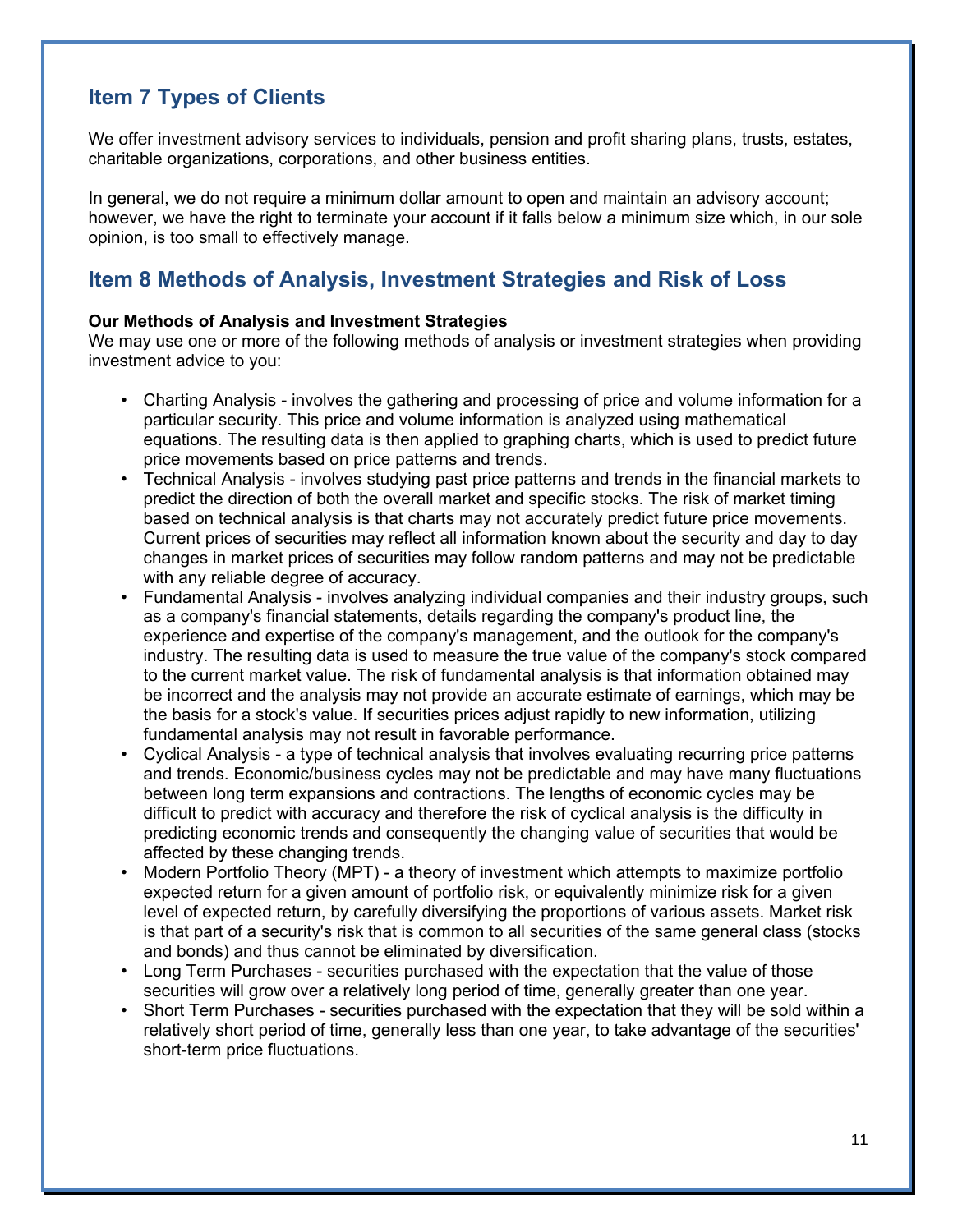# **Item 7 Types of Clients**

We offer investment advisory services to individuals, pension and profit sharing plans, trusts, estates, charitable organizations, corporations, and other business entities.

In general, we do not require a minimum dollar amount to open and maintain an advisory account; however, we have the right to terminate your account if it falls below a minimum size which, in our sole opinion, is too small to effectively manage.

# **Item 8 Methods of Analysis, Investment Strategies and Risk of Loss**

### **Our Methods of Analysis and Investment Strategies**

We may use one or more of the following methods of analysis or investment strategies when providing investment advice to you:

- Charting Analysis involves the gathering and processing of price and volume information for a particular security. This price and volume information is analyzed using mathematical equations. The resulting data is then applied to graphing charts, which is used to predict future price movements based on price patterns and trends.
- Technical Analysis involves studying past price patterns and trends in the financial markets to predict the direction of both the overall market and specific stocks. The risk of market timing based on technical analysis is that charts may not accurately predict future price movements. Current prices of securities may reflect all information known about the security and day to day changes in market prices of securities may follow random patterns and may not be predictable with any reliable degree of accuracy.
- Fundamental Analysis involves analyzing individual companies and their industry groups, such as a company's financial statements, details regarding the company's product line, the experience and expertise of the company's management, and the outlook for the company's industry. The resulting data is used to measure the true value of the company's stock compared to the current market value. The risk of fundamental analysis is that information obtained may be incorrect and the analysis may not provide an accurate estimate of earnings, which may be the basis for a stock's value. If securities prices adjust rapidly to new information, utilizing fundamental analysis may not result in favorable performance.
- Cyclical Analysis a type of technical analysis that involves evaluating recurring price patterns and trends. Economic/business cycles may not be predictable and may have many fluctuations between long term expansions and contractions. The lengths of economic cycles may be difficult to predict with accuracy and therefore the risk of cyclical analysis is the difficulty in predicting economic trends and consequently the changing value of securities that would be affected by these changing trends.
- Modern Portfolio Theory (MPT) a theory of investment which attempts to maximize portfolio expected return for a given amount of portfolio risk, or equivalently minimize risk for a given level of expected return, by carefully diversifying the proportions of various assets. Market risk is that part of a security's risk that is common to all securities of the same general class (stocks and bonds) and thus cannot be eliminated by diversification.
- Long Term Purchases securities purchased with the expectation that the value of those securities will grow over a relatively long period of time, generally greater than one year.
- Short Term Purchases securities purchased with the expectation that they will be sold within a relatively short period of time, generally less than one year, to take advantage of the securities' short-term price fluctuations.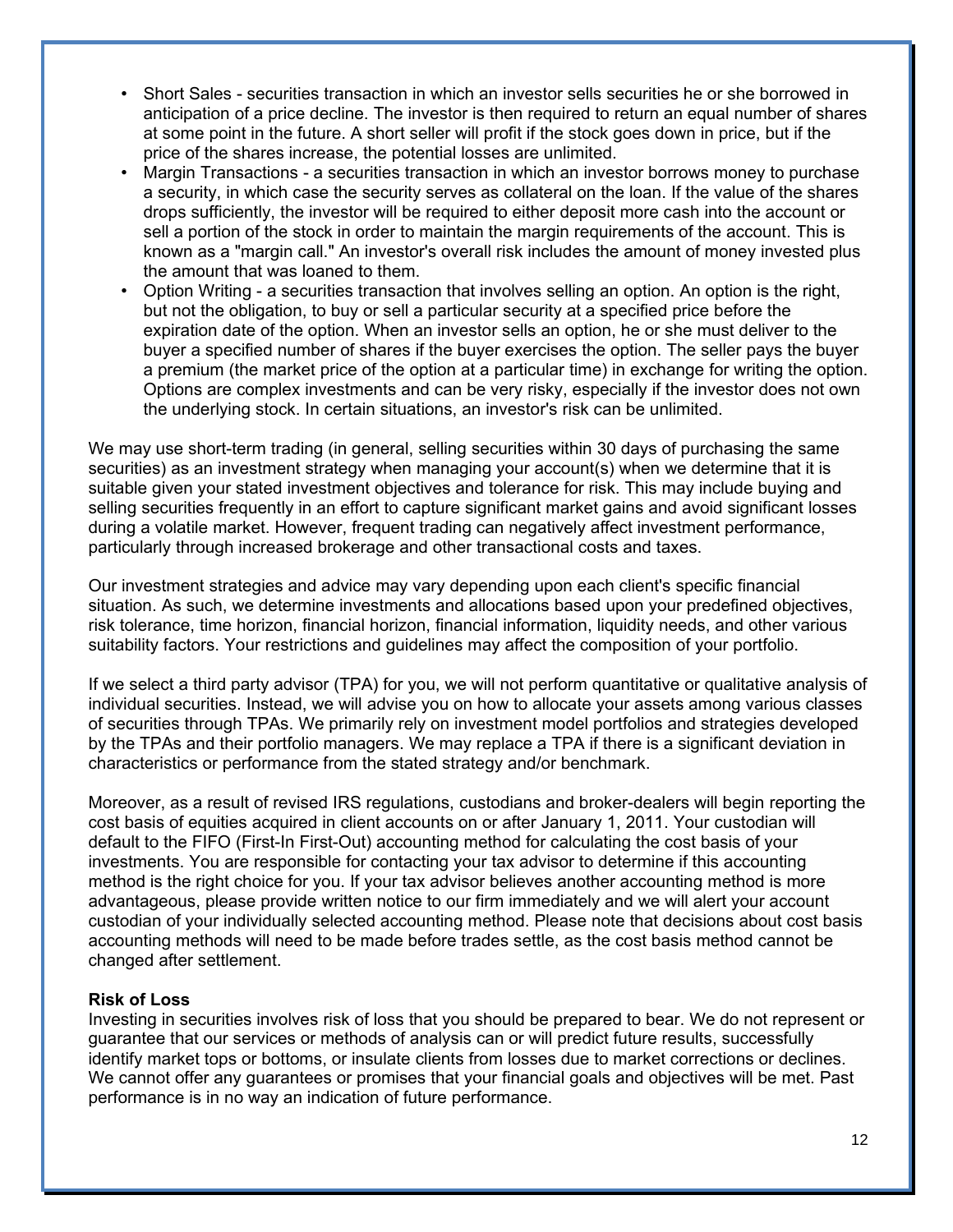- Short Sales securities transaction in which an investor sells securities he or she borrowed in anticipation of a price decline. The investor is then required to return an equal number of shares at some point in the future. A short seller will profit if the stock goes down in price, but if the price of the shares increase, the potential losses are unlimited.
- Margin Transactions a securities transaction in which an investor borrows money to purchase a security, in which case the security serves as collateral on the loan. If the value of the shares drops sufficiently, the investor will be required to either deposit more cash into the account or sell a portion of the stock in order to maintain the margin requirements of the account. This is known as a "margin call." An investor's overall risk includes the amount of money invested plus the amount that was loaned to them.
- Option Writing a securities transaction that involves selling an option. An option is the right, but not the obligation, to buy or sell a particular security at a specified price before the expiration date of the option. When an investor sells an option, he or she must deliver to the buyer a specified number of shares if the buyer exercises the option. The seller pays the buyer a premium (the market price of the option at a particular time) in exchange for writing the option. Options are complex investments and can be very risky, especially if the investor does not own the underlying stock. In certain situations, an investor's risk can be unlimited.

We may use short-term trading (in general, selling securities within 30 days of purchasing the same securities) as an investment strategy when managing your account(s) when we determine that it is suitable given your stated investment objectives and tolerance for risk. This may include buying and selling securities frequently in an effort to capture significant market gains and avoid significant losses during a volatile market. However, frequent trading can negatively affect investment performance, particularly through increased brokerage and other transactional costs and taxes.

Our investment strategies and advice may vary depending upon each client's specific financial situation. As such, we determine investments and allocations based upon your predefined objectives, risk tolerance, time horizon, financial horizon, financial information, liquidity needs, and other various suitability factors. Your restrictions and guidelines may affect the composition of your portfolio.

If we select a third party advisor (TPA) for you, we will not perform quantitative or qualitative analysis of individual securities. Instead, we will advise you on how to allocate your assets among various classes of securities through TPAs. We primarily rely on investment model portfolios and strategies developed by the TPAs and their portfolio managers. We may replace a TPA if there is a significant deviation in characteristics or performance from the stated strategy and/or benchmark.

Moreover, as a result of revised IRS regulations, custodians and broker-dealers will begin reporting the cost basis of equities acquired in client accounts on or after January 1, 2011. Your custodian will default to the FIFO (First-In First-Out) accounting method for calculating the cost basis of your investments. You are responsible for contacting your tax advisor to determine if this accounting method is the right choice for you. If your tax advisor believes another accounting method is more advantageous, please provide written notice to our firm immediately and we will alert your account custodian of your individually selected accounting method. Please note that decisions about cost basis accounting methods will need to be made before trades settle, as the cost basis method cannot be changed after settlement.

### **Risk of Loss**

Investing in securities involves risk of loss that you should be prepared to bear. We do not represent or guarantee that our services or methods of analysis can or will predict future results, successfully identify market tops or bottoms, or insulate clients from losses due to market corrections or declines. We cannot offer any guarantees or promises that your financial goals and objectives will be met. Past performance is in no way an indication of future performance.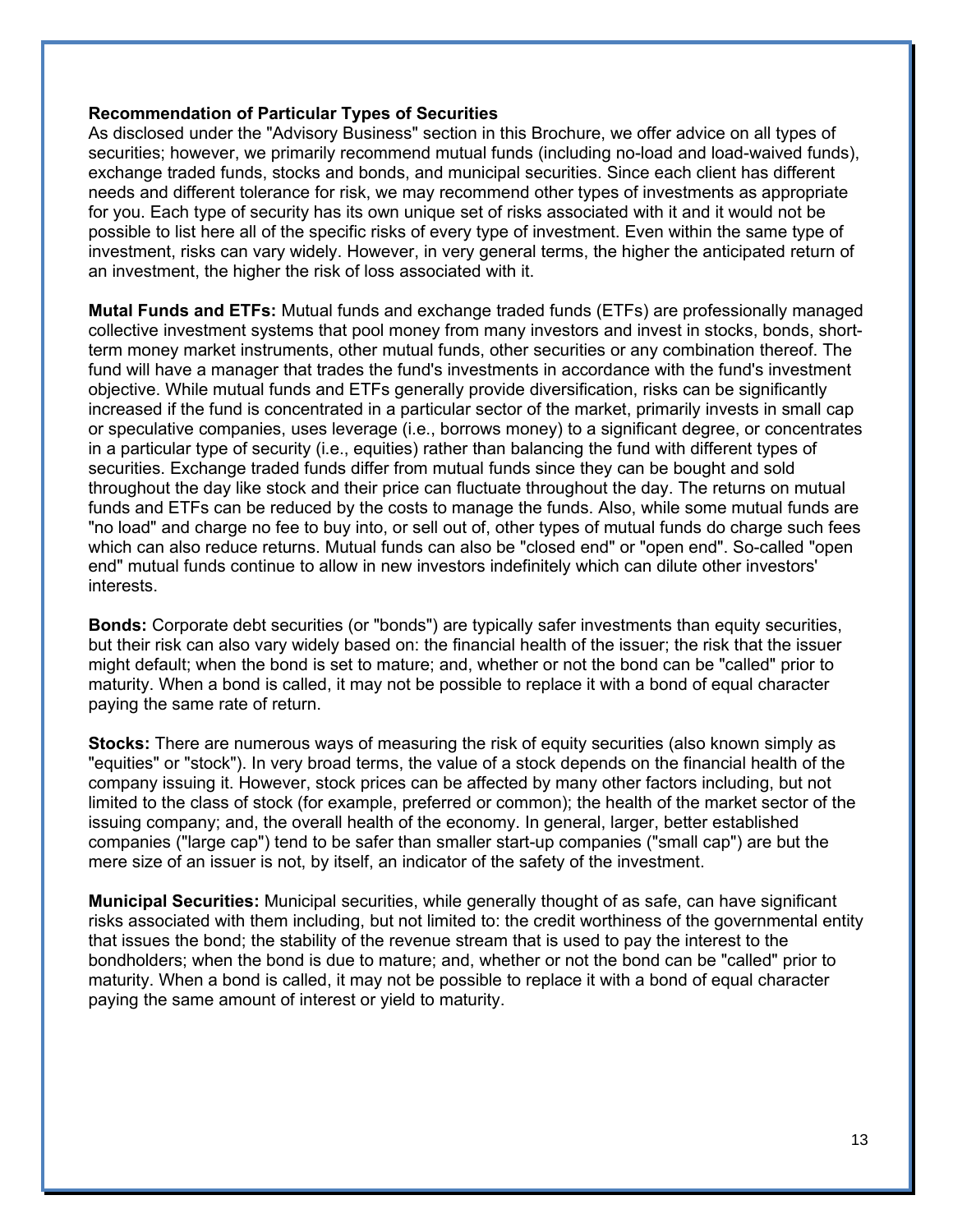#### **Recommendation of Particular Types of Securities**

As disclosed under the "Advisory Business" section in this Brochure, we offer advice on all types of securities; however, we primarily recommend mutual funds (including no-load and load-waived funds), exchange traded funds, stocks and bonds, and municipal securities. Since each client has different needs and different tolerance for risk, we may recommend other types of investments as appropriate for you. Each type of security has its own unique set of risks associated with it and it would not be possible to list here all of the specific risks of every type of investment. Even within the same type of investment, risks can vary widely. However, in very general terms, the higher the anticipated return of an investment, the higher the risk of loss associated with it.

**Mutal Funds and ETFs:** Mutual funds and exchange traded funds (ETFs) are professionally managed collective investment systems that pool money from many investors and invest in stocks, bonds, shortterm money market instruments, other mutual funds, other securities or any combination thereof. The fund will have a manager that trades the fund's investments in accordance with the fund's investment objective. While mutual funds and ETFs generally provide diversification, risks can be significantly increased if the fund is concentrated in a particular sector of the market, primarily invests in small cap or speculative companies, uses leverage (i.e., borrows money) to a significant degree, or concentrates in a particular type of security (i.e., equities) rather than balancing the fund with different types of securities. Exchange traded funds differ from mutual funds since they can be bought and sold throughout the day like stock and their price can fluctuate throughout the day. The returns on mutual funds and ETFs can be reduced by the costs to manage the funds. Also, while some mutual funds are "no load" and charge no fee to buy into, or sell out of, other types of mutual funds do charge such fees which can also reduce returns. Mutual funds can also be "closed end" or "open end". So-called "open end" mutual funds continue to allow in new investors indefinitely which can dilute other investors' interests.

**Bonds:** Corporate debt securities (or "bonds") are typically safer investments than equity securities, but their risk can also vary widely based on: the financial health of the issuer; the risk that the issuer might default; when the bond is set to mature; and, whether or not the bond can be "called" prior to maturity. When a bond is called, it may not be possible to replace it with a bond of equal character paying the same rate of return.

**Stocks:** There are numerous ways of measuring the risk of equity securities (also known simply as "equities" or "stock"). In very broad terms, the value of a stock depends on the financial health of the company issuing it. However, stock prices can be affected by many other factors including, but not limited to the class of stock (for example, preferred or common); the health of the market sector of the issuing company; and, the overall health of the economy. In general, larger, better established companies ("large cap") tend to be safer than smaller start-up companies ("small cap") are but the mere size of an issuer is not, by itself, an indicator of the safety of the investment.

**Municipal Securities:** Municipal securities, while generally thought of as safe, can have significant risks associated with them including, but not limited to: the credit worthiness of the governmental entity that issues the bond; the stability of the revenue stream that is used to pay the interest to the bondholders; when the bond is due to mature; and, whether or not the bond can be "called" prior to maturity. When a bond is called, it may not be possible to replace it with a bond of equal character paying the same amount of interest or yield to maturity.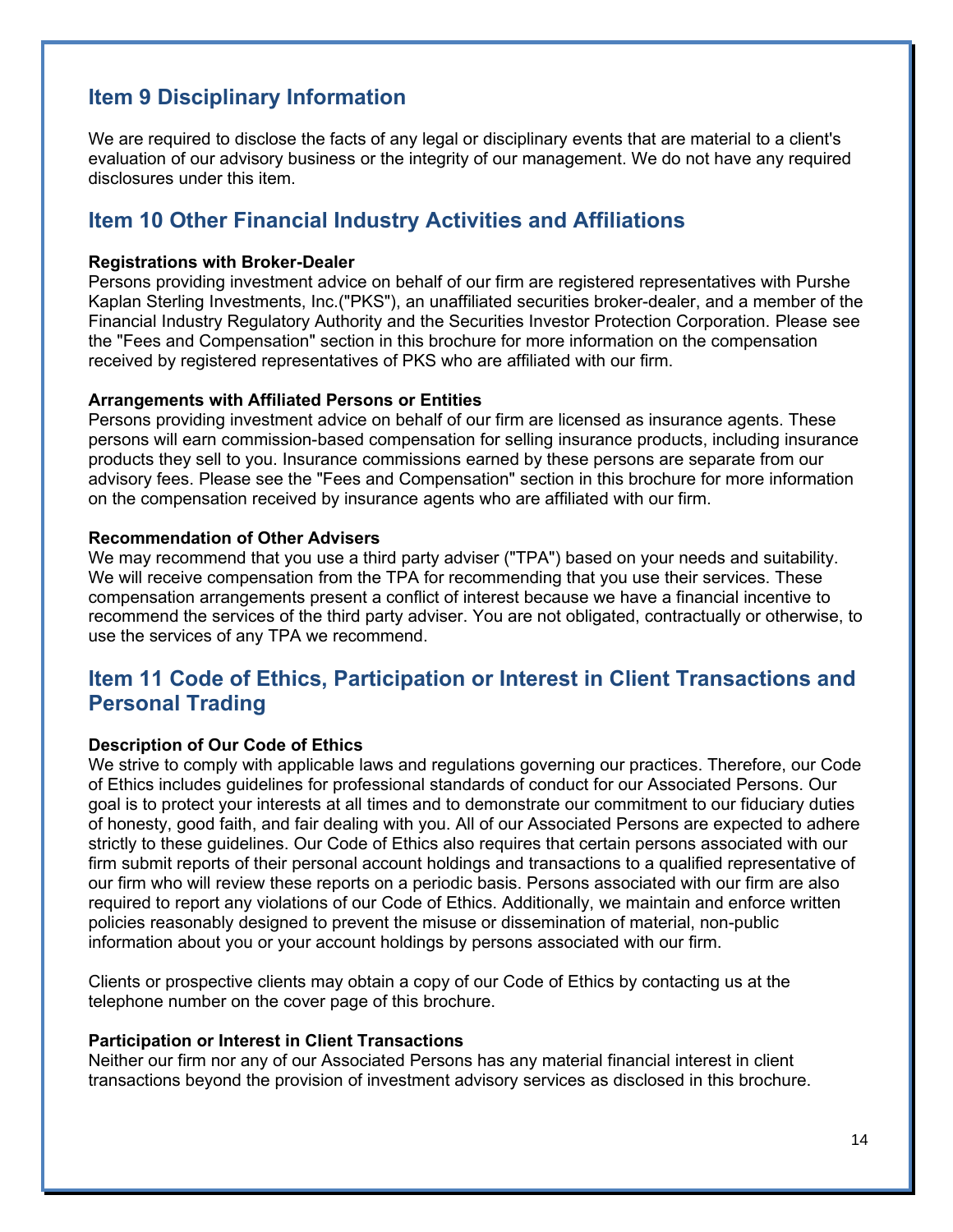## **Item 9 Disciplinary Information**

We are required to disclose the facts of any legal or disciplinary events that are material to a client's evaluation of our advisory business or the integrity of our management. We do not have any required disclosures under this item.

## **Item 10 Other Financial Industry Activities and Affiliations**

#### **Registrations with Broker-Dealer**

Persons providing investment advice on behalf of our firm are registered representatives with Purshe Kaplan Sterling Investments, Inc.("PKS"), an unaffiliated securities broker-dealer, and a member of the Financial Industry Regulatory Authority and the Securities Investor Protection Corporation. Please see the "Fees and Compensation" section in this brochure for more information on the compensation received by registered representatives of PKS who are affiliated with our firm.

#### **Arrangements with Affiliated Persons or Entities**

Persons providing investment advice on behalf of our firm are licensed as insurance agents. These persons will earn commission-based compensation for selling insurance products, including insurance products they sell to you. Insurance commissions earned by these persons are separate from our advisory fees. Please see the "Fees and Compensation" section in this brochure for more information on the compensation received by insurance agents who are affiliated with our firm.

#### **Recommendation of Other Advisers**

We may recommend that you use a third party adviser ("TPA") based on your needs and suitability. We will receive compensation from the TPA for recommending that you use their services. These compensation arrangements present a conflict of interest because we have a financial incentive to recommend the services of the third party adviser. You are not obligated, contractually or otherwise, to use the services of any TPA we recommend.

## **Item 11 Code of Ethics, Participation or Interest in Client Transactions and Personal Trading**

### **Description of Our Code of Ethics**

We strive to comply with applicable laws and regulations governing our practices. Therefore, our Code of Ethics includes guidelines for professional standards of conduct for our Associated Persons. Our goal is to protect your interests at all times and to demonstrate our commitment to our fiduciary duties of honesty, good faith, and fair dealing with you. All of our Associated Persons are expected to adhere strictly to these guidelines. Our Code of Ethics also requires that certain persons associated with our firm submit reports of their personal account holdings and transactions to a qualified representative of our firm who will review these reports on a periodic basis. Persons associated with our firm are also required to report any violations of our Code of Ethics. Additionally, we maintain and enforce written policies reasonably designed to prevent the misuse or dissemination of material, non-public information about you or your account holdings by persons associated with our firm.

Clients or prospective clients may obtain a copy of our Code of Ethics by contacting us at the telephone number on the cover page of this brochure.

#### **Participation or Interest in Client Transactions**

Neither our firm nor any of our Associated Persons has any material financial interest in client transactions beyond the provision of investment advisory services as disclosed in this brochure.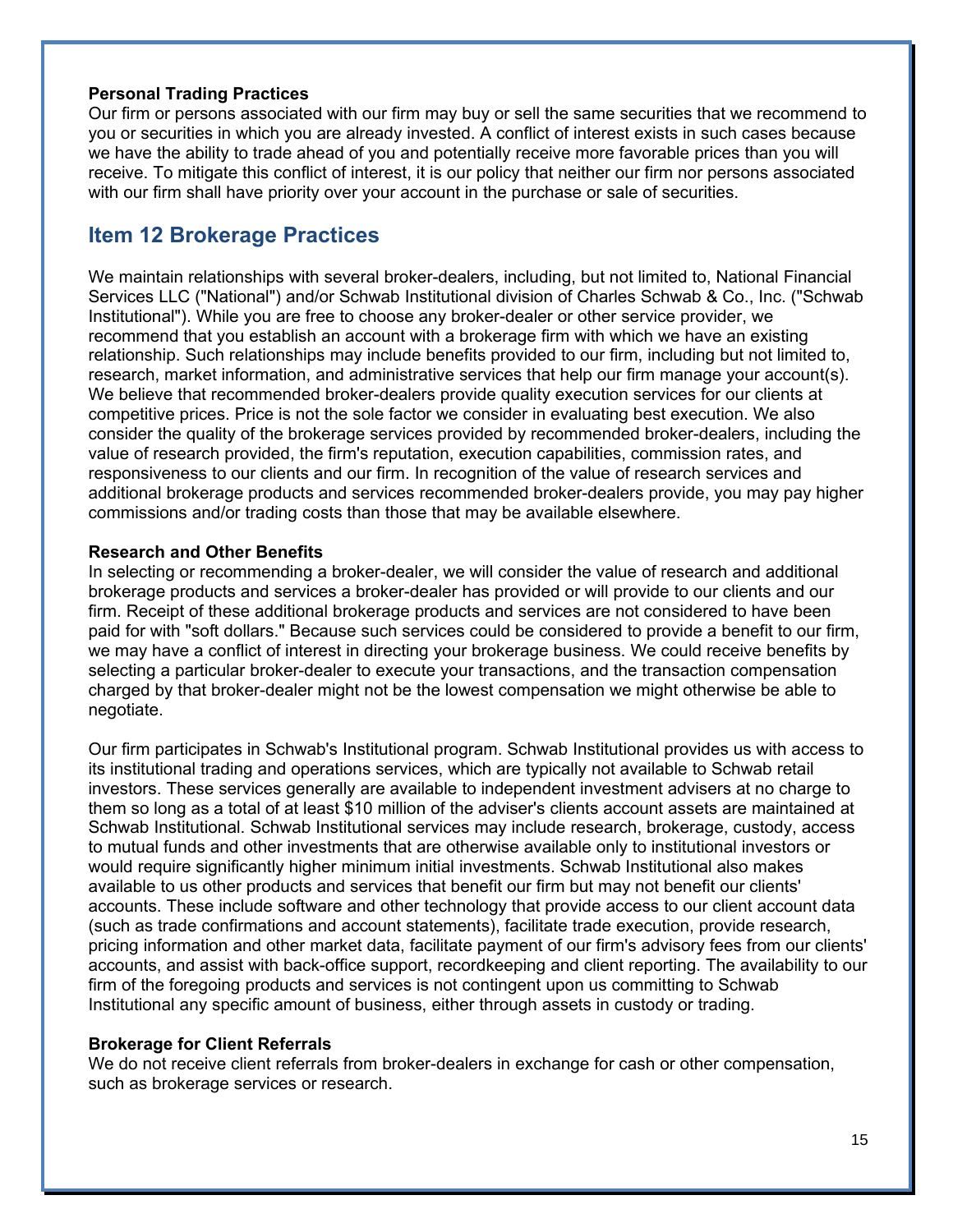### **Personal Trading Practices**

Our firm or persons associated with our firm may buy or sell the same securities that we recommend to you or securities in which you are already invested. A conflict of interest exists in such cases because we have the ability to trade ahead of you and potentially receive more favorable prices than you will receive. To mitigate this conflict of interest, it is our policy that neither our firm nor persons associated with our firm shall have priority over your account in the purchase or sale of securities.

### **Item 12 Brokerage Practices**

We maintain relationships with several broker-dealers, including, but not limited to, National Financial Services LLC ("National") and/or Schwab Institutional division of Charles Schwab & Co., Inc. ("Schwab Institutional"). While you are free to choose any broker-dealer or other service provider, we recommend that you establish an account with a brokerage firm with which we have an existing relationship. Such relationships may include benefits provided to our firm, including but not limited to, research, market information, and administrative services that help our firm manage your account(s). We believe that recommended broker-dealers provide quality execution services for our clients at competitive prices. Price is not the sole factor we consider in evaluating best execution. We also consider the quality of the brokerage services provided by recommended broker-dealers, including the value of research provided, the firm's reputation, execution capabilities, commission rates, and responsiveness to our clients and our firm. In recognition of the value of research services and additional brokerage products and services recommended broker-dealers provide, you may pay higher commissions and/or trading costs than those that may be available elsewhere.

#### **Research and Other Benefits**

In selecting or recommending a broker-dealer, we will consider the value of research and additional brokerage products and services a broker-dealer has provided or will provide to our clients and our firm. Receipt of these additional brokerage products and services are not considered to have been paid for with "soft dollars." Because such services could be considered to provide a benefit to our firm, we may have a conflict of interest in directing your brokerage business. We could receive benefits by selecting a particular broker-dealer to execute your transactions, and the transaction compensation charged by that broker-dealer might not be the lowest compensation we might otherwise be able to negotiate.

Our firm participates in Schwab's Institutional program. Schwab Institutional provides us with access to its institutional trading and operations services, which are typically not available to Schwab retail investors. These services generally are available to independent investment advisers at no charge to them so long as a total of at least \$10 million of the adviser's clients account assets are maintained at Schwab Institutional. Schwab Institutional services may include research, brokerage, custody, access to mutual funds and other investments that are otherwise available only to institutional investors or would require significantly higher minimum initial investments. Schwab Institutional also makes available to us other products and services that benefit our firm but may not benefit our clients' accounts. These include software and other technology that provide access to our client account data (such as trade confirmations and account statements), facilitate trade execution, provide research, pricing information and other market data, facilitate payment of our firm's advisory fees from our clients' accounts, and assist with back-office support, recordkeeping and client reporting. The availability to our firm of the foregoing products and services is not contingent upon us committing to Schwab Institutional any specific amount of business, either through assets in custody or trading.

#### **Brokerage for Client Referrals**

We do not receive client referrals from broker-dealers in exchange for cash or other compensation, such as brokerage services or research.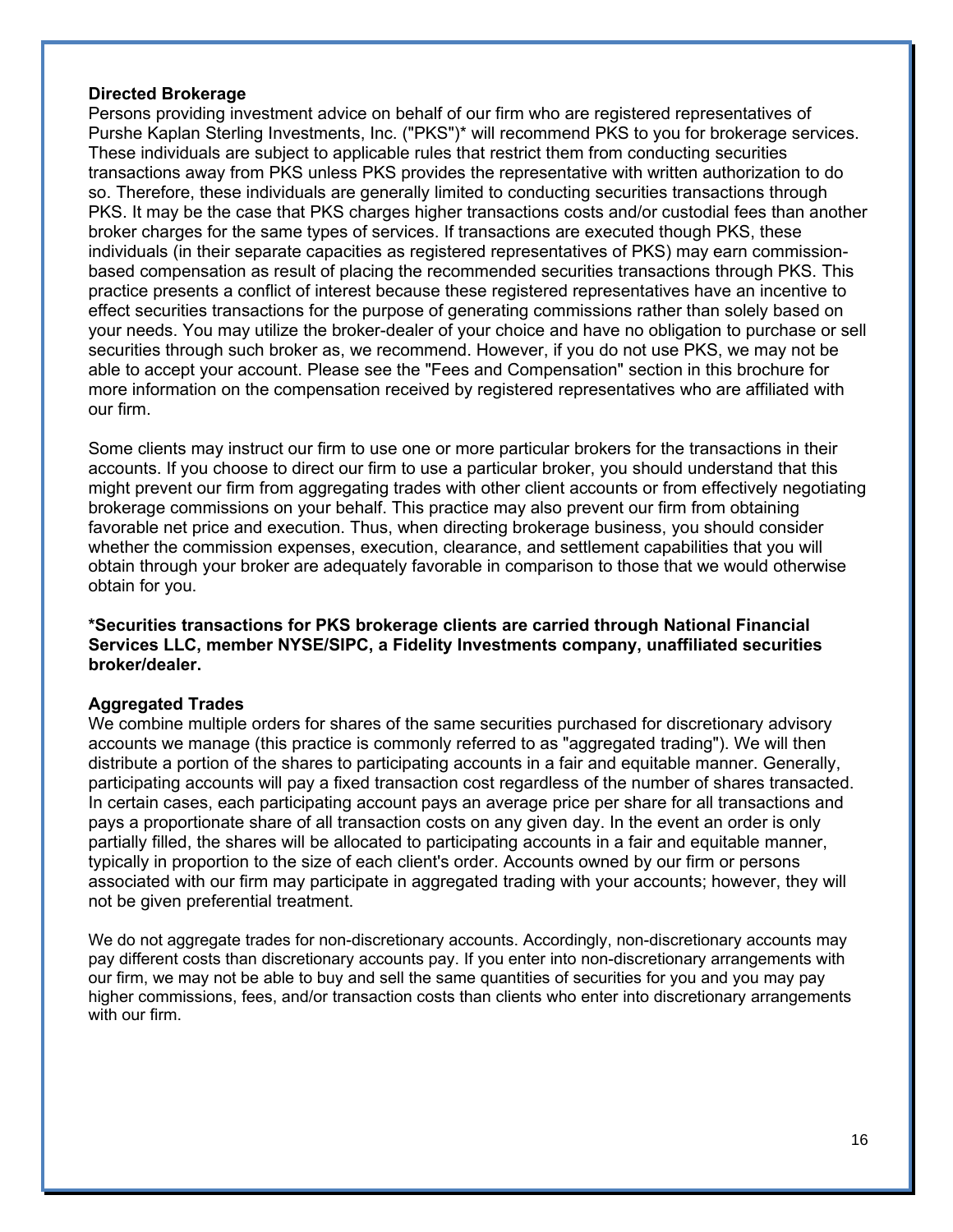#### **Directed Brokerage**

Persons providing investment advice on behalf of our firm who are registered representatives of Purshe Kaplan Sterling Investments, Inc. ("PKS")\* will recommend PKS to you for brokerage services. These individuals are subject to applicable rules that restrict them from conducting securities transactions away from PKS unless PKS provides the representative with written authorization to do so. Therefore, these individuals are generally limited to conducting securities transactions through PKS. It may be the case that PKS charges higher transactions costs and/or custodial fees than another broker charges for the same types of services. If transactions are executed though PKS, these individuals (in their separate capacities as registered representatives of PKS) may earn commissionbased compensation as result of placing the recommended securities transactions through PKS. This practice presents a conflict of interest because these registered representatives have an incentive to effect securities transactions for the purpose of generating commissions rather than solely based on your needs. You may utilize the broker-dealer of your choice and have no obligation to purchase or sell securities through such broker as, we recommend. However, if you do not use PKS, we may not be able to accept your account. Please see the "Fees and Compensation" section in this brochure for more information on the compensation received by registered representatives who are affiliated with our firm.

Some clients may instruct our firm to use one or more particular brokers for the transactions in their accounts. If you choose to direct our firm to use a particular broker, you should understand that this might prevent our firm from aggregating trades with other client accounts or from effectively negotiating brokerage commissions on your behalf. This practice may also prevent our firm from obtaining favorable net price and execution. Thus, when directing brokerage business, you should consider whether the commission expenses, execution, clearance, and settlement capabilities that you will obtain through your broker are adequately favorable in comparison to those that we would otherwise obtain for you.

#### **\*Securities transactions for PKS brokerage clients are carried through National Financial Services LLC, member NYSE/SIPC, a Fidelity Investments company, unaffiliated securities broker/dealer.**

### **Aggregated Trades**

We combine multiple orders for shares of the same securities purchased for discretionary advisory accounts we manage (this practice is commonly referred to as "aggregated trading"). We will then distribute a portion of the shares to participating accounts in a fair and equitable manner. Generally, participating accounts will pay a fixed transaction cost regardless of the number of shares transacted. In certain cases, each participating account pays an average price per share for all transactions and pays a proportionate share of all transaction costs on any given day. In the event an order is only partially filled, the shares will be allocated to participating accounts in a fair and equitable manner, typically in proportion to the size of each client's order. Accounts owned by our firm or persons associated with our firm may participate in aggregated trading with your accounts; however, they will not be given preferential treatment.

We do not aggregate trades for non-discretionary accounts. Accordingly, non-discretionary accounts may pay different costs than discretionary accounts pay. If you enter into non-discretionary arrangements with our firm, we may not be able to buy and sell the same quantities of securities for you and you may pay higher commissions, fees, and/or transaction costs than clients who enter into discretionary arrangements with our firm.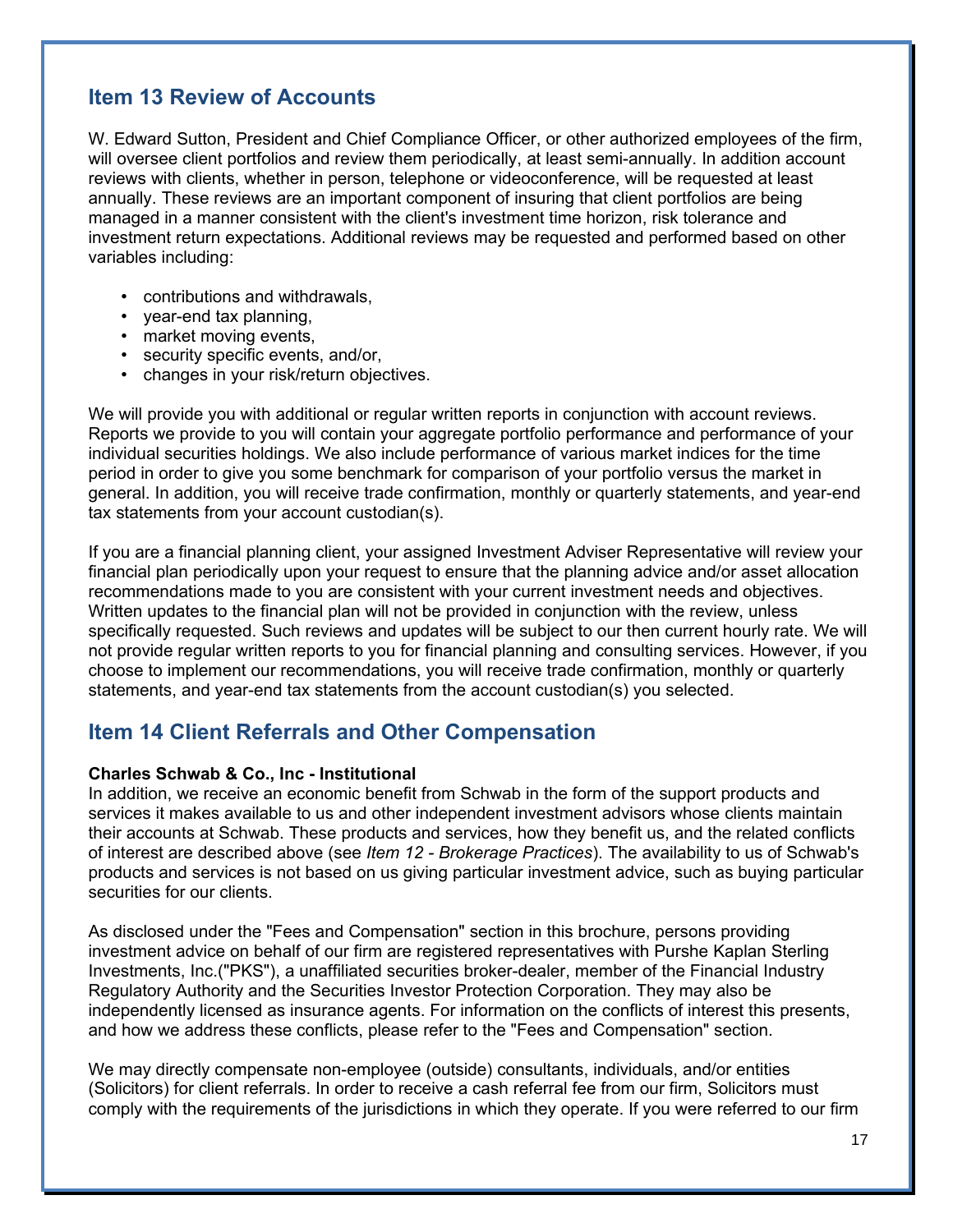## **Item 13 Review of Accounts**

W. Edward Sutton, President and Chief Compliance Officer, or other authorized employees of the firm, will oversee client portfolios and review them periodically, at least semi-annually. In addition account reviews with clients, whether in person, telephone or videoconference, will be requested at least annually. These reviews are an important component of insuring that client portfolios are being managed in a manner consistent with the client's investment time horizon, risk tolerance and investment return expectations. Additional reviews may be requested and performed based on other variables including:

- contributions and withdrawals,
- year-end tax planning,
- market moving events,
- security specific events, and/or,
- changes in your risk/return objectives.

We will provide you with additional or regular written reports in conjunction with account reviews. Reports we provide to you will contain your aggregate portfolio performance and performance of your individual securities holdings. We also include performance of various market indices for the time period in order to give you some benchmark for comparison of your portfolio versus the market in general. In addition, you will receive trade confirmation, monthly or quarterly statements, and year-end tax statements from your account custodian(s).

If you are a financial planning client, your assigned Investment Adviser Representative will review your financial plan periodically upon your request to ensure that the planning advice and/or asset allocation recommendations made to you are consistent with your current investment needs and objectives. Written updates to the financial plan will not be provided in conjunction with the review, unless specifically requested. Such reviews and updates will be subject to our then current hourly rate. We will not provide regular written reports to you for financial planning and consulting services. However, if you choose to implement our recommendations, you will receive trade confirmation, monthly or quarterly statements, and year-end tax statements from the account custodian(s) you selected.

## **Item 14 Client Referrals and Other Compensation**

### **Charles Schwab & Co., Inc - Institutional**

In addition, we receive an economic benefit from Schwab in the form of the support products and services it makes available to us and other independent investment advisors whose clients maintain their accounts at Schwab. These products and services, how they benefit us, and the related conflicts of interest are described above (see *Item 12 - Brokerage Practices*). The availability to us of Schwab's products and services is not based on us giving particular investment advice, such as buying particular securities for our clients.

As disclosed under the "Fees and Compensation" section in this brochure, persons providing investment advice on behalf of our firm are registered representatives with Purshe Kaplan Sterling Investments, Inc.("PKS"), a unaffiliated securities broker-dealer, member of the Financial Industry Regulatory Authority and the Securities Investor Protection Corporation. They may also be independently licensed as insurance agents. For information on the conflicts of interest this presents, and how we address these conflicts, please refer to the "Fees and Compensation" section.

We may directly compensate non-employee (outside) consultants, individuals, and/or entities (Solicitors) for client referrals. In order to receive a cash referral fee from our firm, Solicitors must comply with the requirements of the jurisdictions in which they operate. If you were referred to our firm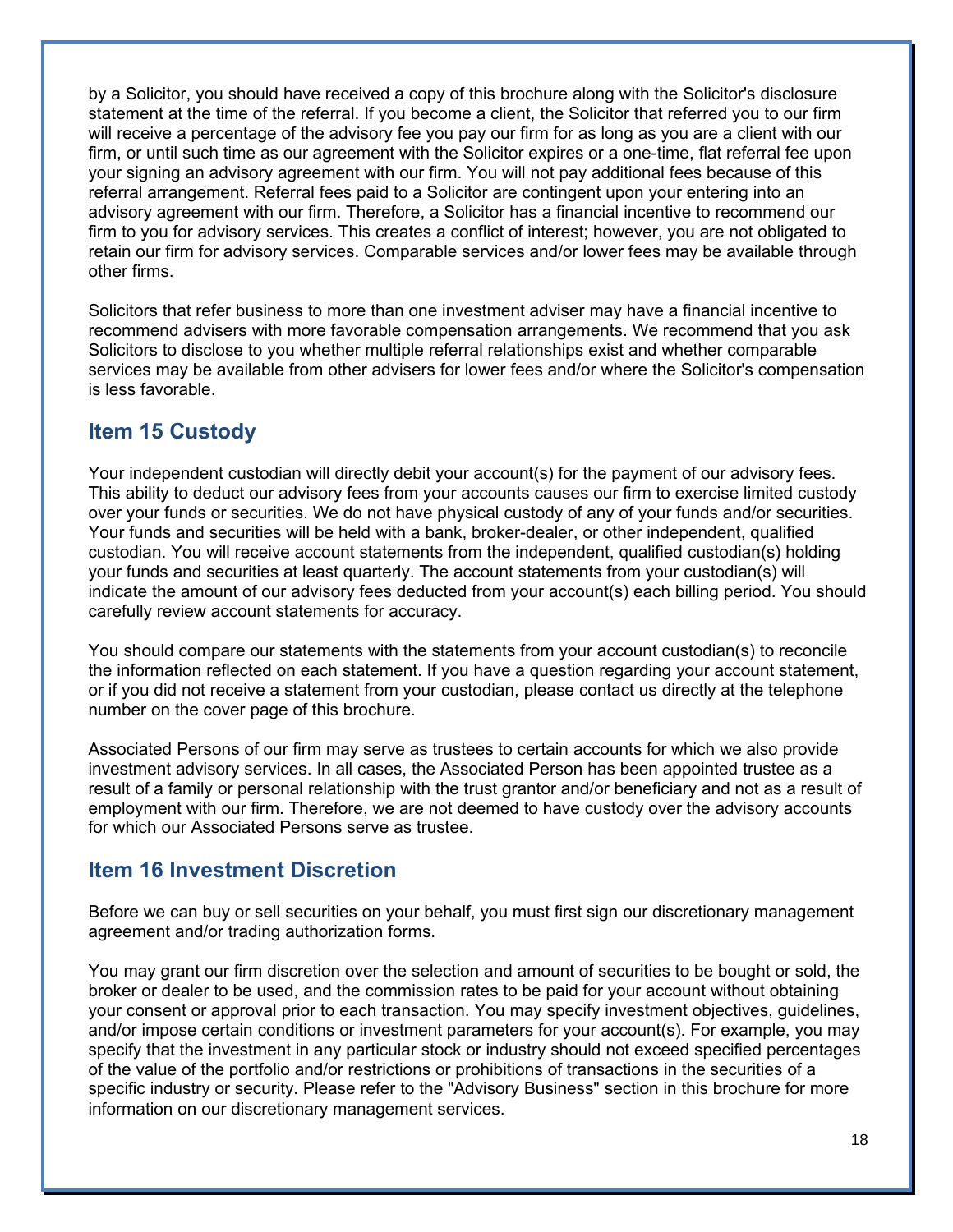by a Solicitor, you should have received a copy of this brochure along with the Solicitor's disclosure statement at the time of the referral. If you become a client, the Solicitor that referred you to our firm will receive a percentage of the advisory fee you pay our firm for as long as you are a client with our firm, or until such time as our agreement with the Solicitor expires or a one-time, flat referral fee upon your signing an advisory agreement with our firm. You will not pay additional fees because of this referral arrangement. Referral fees paid to a Solicitor are contingent upon your entering into an advisory agreement with our firm. Therefore, a Solicitor has a financial incentive to recommend our firm to you for advisory services. This creates a conflict of interest; however, you are not obligated to retain our firm for advisory services. Comparable services and/or lower fees may be available through other firms.

Solicitors that refer business to more than one investment adviser may have a financial incentive to recommend advisers with more favorable compensation arrangements. We recommend that you ask Solicitors to disclose to you whether multiple referral relationships exist and whether comparable services may be available from other advisers for lower fees and/or where the Solicitor's compensation is less favorable.

## **Item 15 Custody**

Your independent custodian will directly debit your account(s) for the payment of our advisory fees. This ability to deduct our advisory fees from your accounts causes our firm to exercise limited custody over your funds or securities. We do not have physical custody of any of your funds and/or securities. Your funds and securities will be held with a bank, broker-dealer, or other independent, qualified custodian. You will receive account statements from the independent, qualified custodian(s) holding your funds and securities at least quarterly. The account statements from your custodian(s) will indicate the amount of our advisory fees deducted from your account(s) each billing period. You should carefully review account statements for accuracy.

You should compare our statements with the statements from your account custodian(s) to reconcile the information reflected on each statement. If you have a question regarding your account statement, or if you did not receive a statement from your custodian, please contact us directly at the telephone number on the cover page of this brochure.

Associated Persons of our firm may serve as trustees to certain accounts for which we also provide investment advisory services. In all cases, the Associated Person has been appointed trustee as a result of a family or personal relationship with the trust grantor and/or beneficiary and not as a result of employment with our firm. Therefore, we are not deemed to have custody over the advisory accounts for which our Associated Persons serve as trustee.

## **Item 16 Investment Discretion**

Before we can buy or sell securities on your behalf, you must first sign our discretionary management agreement and/or trading authorization forms.

You may grant our firm discretion over the selection and amount of securities to be bought or sold, the broker or dealer to be used, and the commission rates to be paid for your account without obtaining your consent or approval prior to each transaction. You may specify investment objectives, guidelines, and/or impose certain conditions or investment parameters for your account(s). For example, you may specify that the investment in any particular stock or industry should not exceed specified percentages of the value of the portfolio and/or restrictions or prohibitions of transactions in the securities of a specific industry or security. Please refer to the "Advisory Business" section in this brochure for more information on our discretionary management services.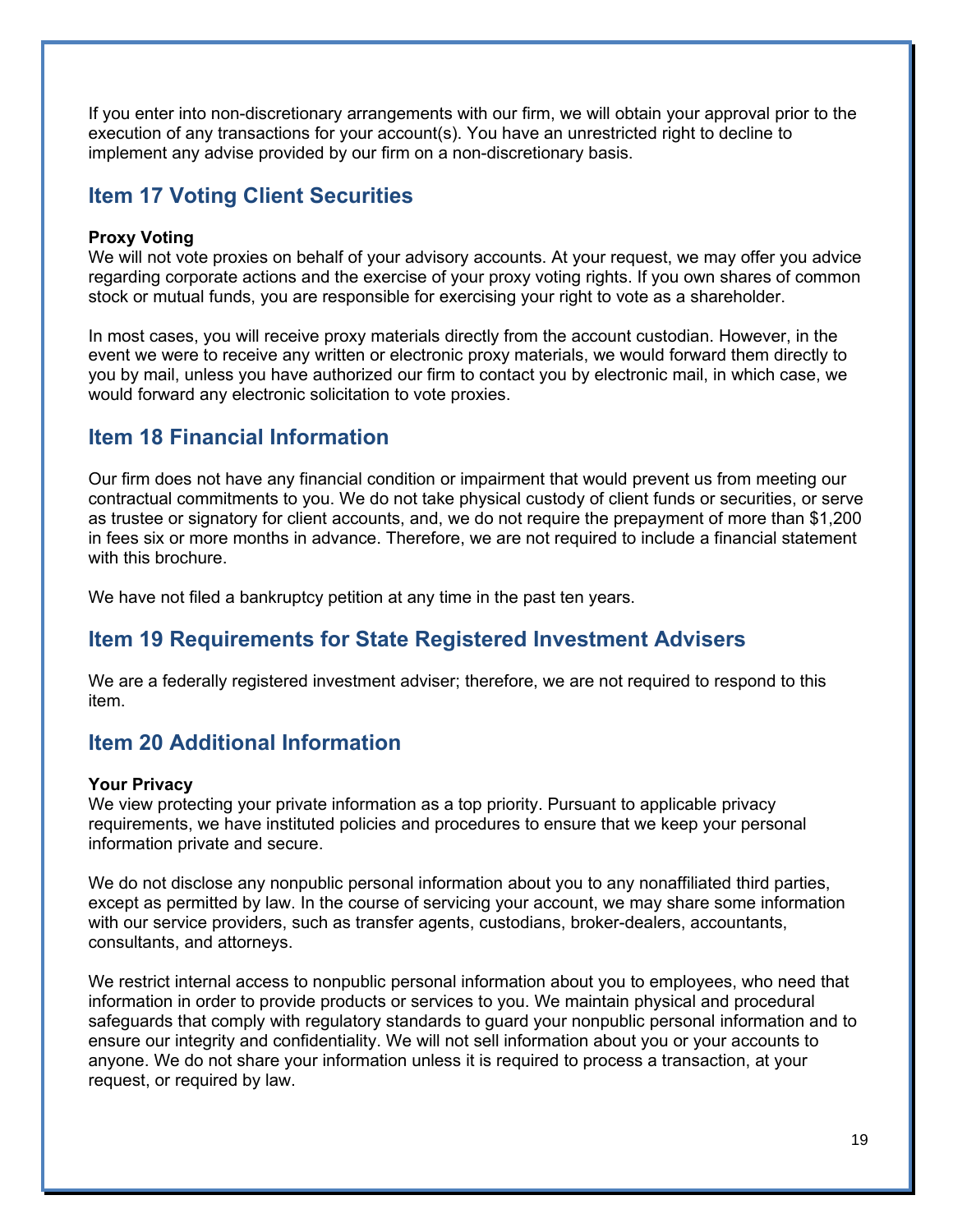If you enter into non-discretionary arrangements with our firm, we will obtain your approval prior to the execution of any transactions for your account(s). You have an unrestricted right to decline to implement any advise provided by our firm on a non-discretionary basis.

## **Item 17 Voting Client Securities**

#### **Proxy Voting**

We will not vote proxies on behalf of your advisory accounts. At your request, we may offer you advice regarding corporate actions and the exercise of your proxy voting rights. If you own shares of common stock or mutual funds, you are responsible for exercising your right to vote as a shareholder.

In most cases, you will receive proxy materials directly from the account custodian. However, in the event we were to receive any written or electronic proxy materials, we would forward them directly to you by mail, unless you have authorized our firm to contact you by electronic mail, in which case, we would forward any electronic solicitation to vote proxies.

## **Item 18 Financial Information**

Our firm does not have any financial condition or impairment that would prevent us from meeting our contractual commitments to you. We do not take physical custody of client funds or securities, or serve as trustee or signatory for client accounts, and, we do not require the prepayment of more than \$1,200 in fees six or more months in advance. Therefore, we are not required to include a financial statement with this brochure.

We have not filed a bankruptcy petition at any time in the past ten years.

## **Item 19 Requirements for State Registered Investment Advisers**

We are a federally registered investment adviser; therefore, we are not required to respond to this item.

# **Item 20 Additional Information**

#### **Your Privacy**

We view protecting your private information as a top priority. Pursuant to applicable privacy requirements, we have instituted policies and procedures to ensure that we keep your personal information private and secure.

We do not disclose any nonpublic personal information about you to any nonaffiliated third parties, except as permitted by law. In the course of servicing your account, we may share some information with our service providers, such as transfer agents, custodians, broker-dealers, accountants, consultants, and attorneys.

We restrict internal access to nonpublic personal information about you to employees, who need that information in order to provide products or services to you. We maintain physical and procedural safeguards that comply with regulatory standards to guard your nonpublic personal information and to ensure our integrity and confidentiality. We will not sell information about you or your accounts to anyone. We do not share your information unless it is required to process a transaction, at your request, or required by law.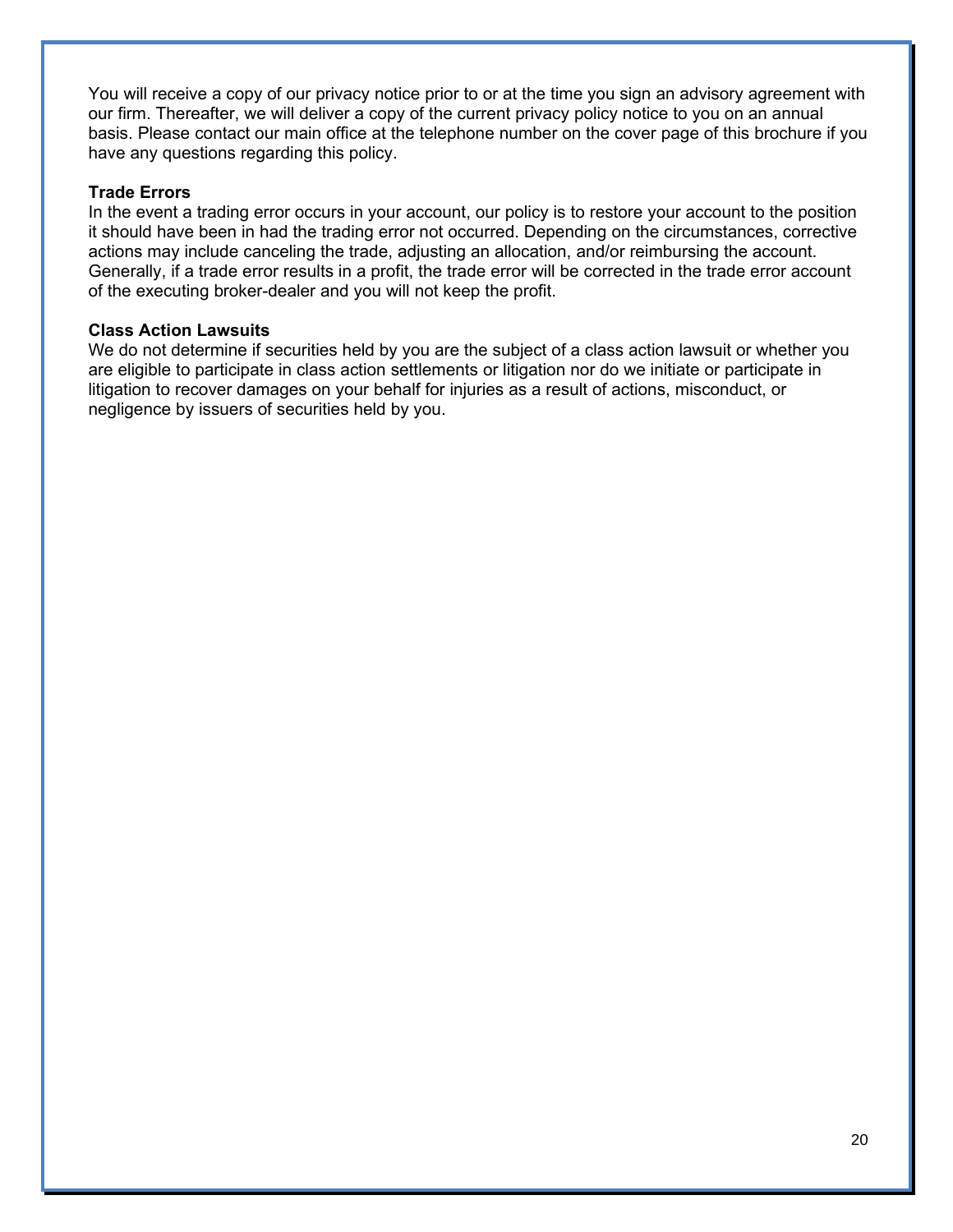You will receive a copy of our privacy notice prior to or at the time you sign an advisory agreement with our firm. Thereafter, we will deliver a copy of the current privacy policy notice to you on an annual basis. Please contact our main office at the telephone number on the cover page of this brochure if you have any questions regarding this policy.

#### **Trade Errors**

In the event a trading error occurs in your account, our policy is to restore your account to the position it should have been in had the trading error not occurred. Depending on the circumstances, corrective actions may include canceling the trade, adjusting an allocation, and/or reimbursing the account. Generally, if a trade error results in a profit, the trade error will be corrected in the trade error account of the executing broker-dealer and you will not keep the profit.

#### **Class Action Lawsuits**

We do not determine if securities held by you are the subject of a class action lawsuit or whether you are eligible to participate in class action settlements or litigation nor do we initiate or participate in litigation to recover damages on your behalf for injuries as a result of actions, misconduct, or negligence by issuers of securities held by you.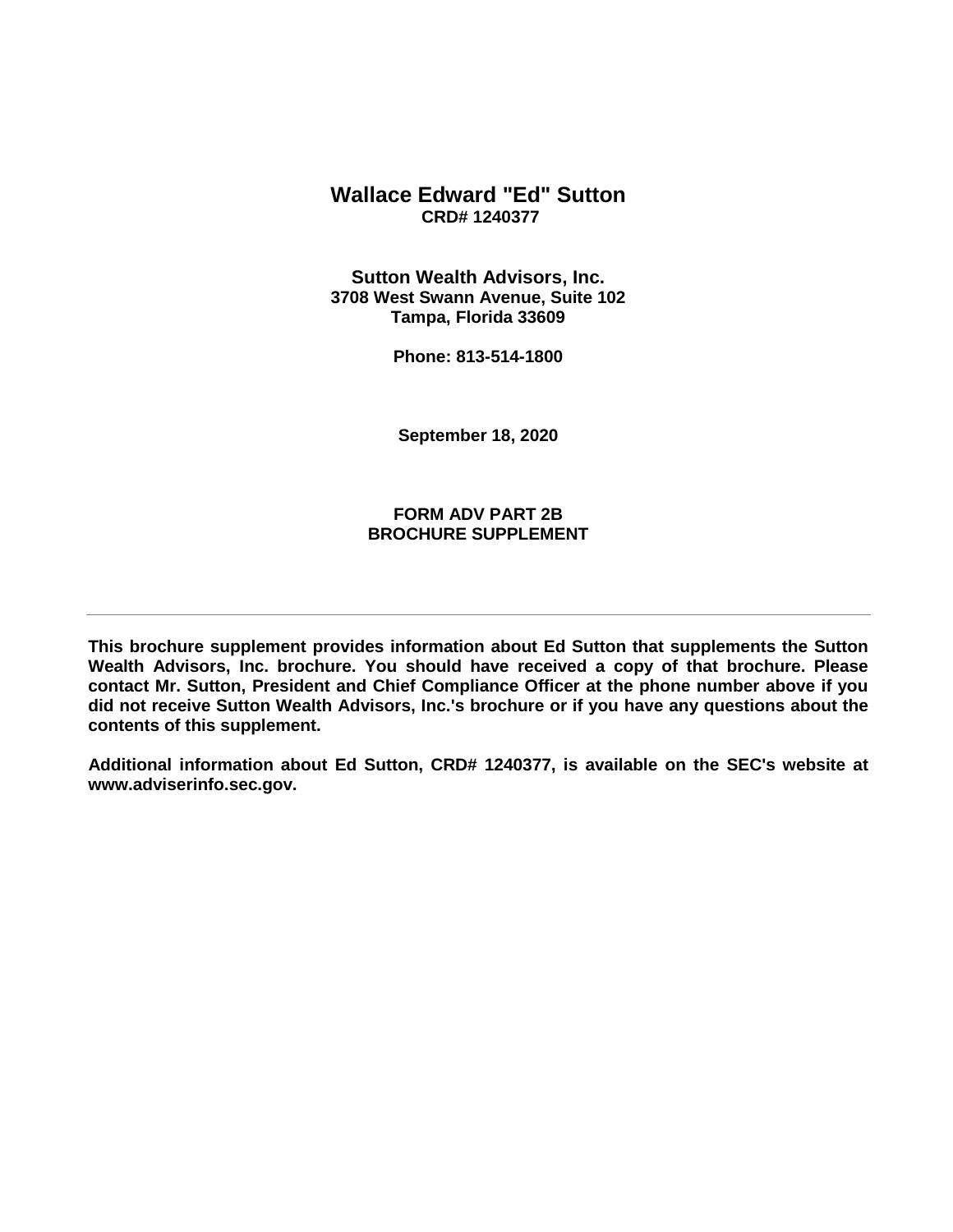### **Wallace Edward "Ed" Sutton CRD# 1240377**

**Sutton Wealth Advisors, Inc. 3708 West Swann Avenue, Suite 102 Tampa, Florida 33609** 

**Phone: 813-514-1800** 

**September 18, 2020**

### **FORM ADV PART 2B BROCHURE SUPPLEMENT**

**This brochure supplement provides information about Ed Sutton that supplements the Sutton Wealth Advisors, Inc. brochure. You should have received a copy of that brochure. Please contact Mr. Sutton, President and Chief Compliance Officer at the phone number above if you did not receive Sutton Wealth Advisors, Inc.'s brochure or if you have any questions about the contents of this supplement.**

**Additional information about Ed Sutton, CRD# 1240377, is available on the SEC's website at www.adviserinfo.sec.gov.**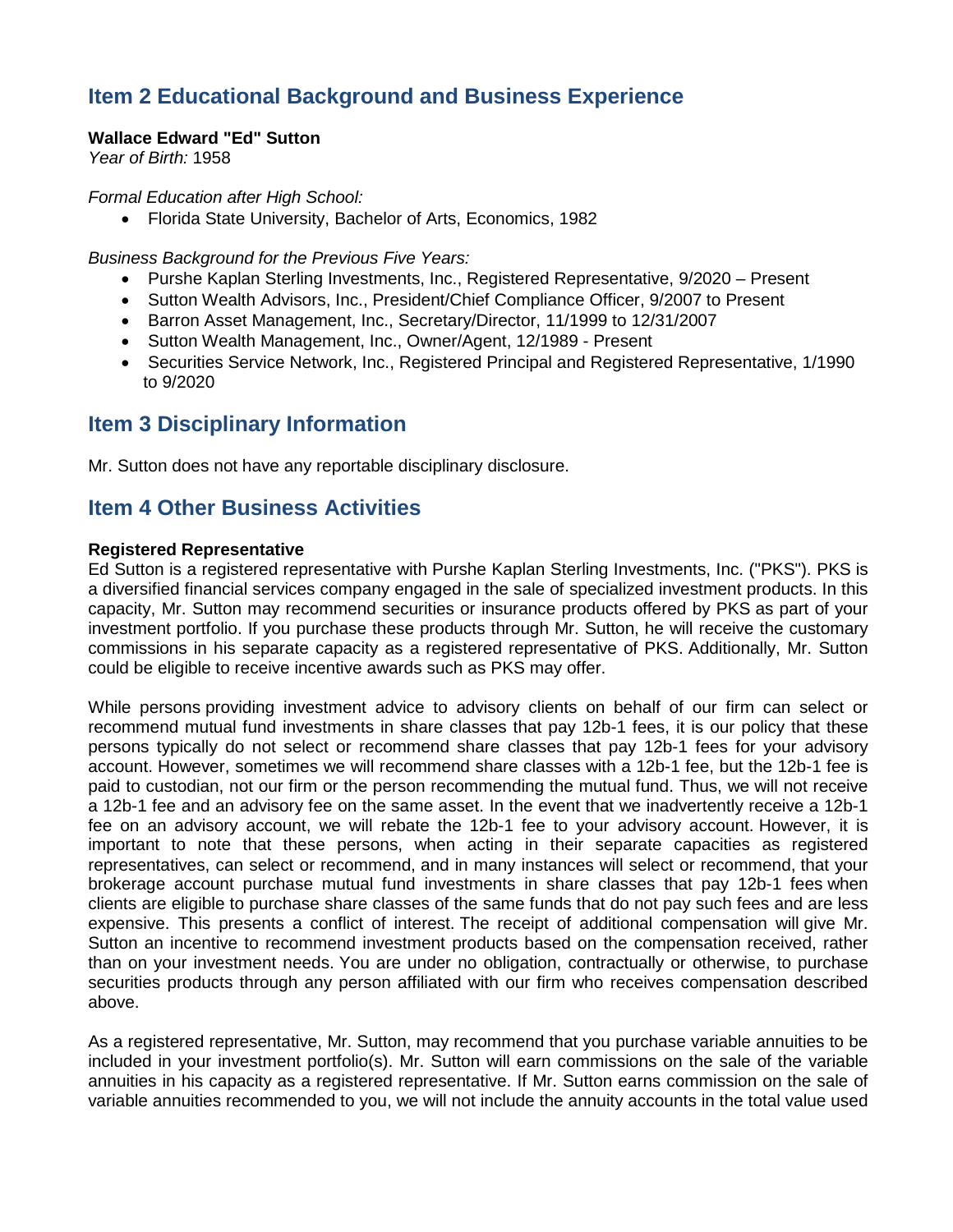# **Item 2 Educational Background and Business Experience**

### **Wallace Edward "Ed" Sutton**

*Year of Birth:* 1958

*Formal Education after High School:* 

• Florida State University, Bachelor of Arts, Economics, 1982

*Business Background for the Previous Five Years:*

- Purshe Kaplan Sterling Investments, Inc., Registered Representative, 9/2020 Present
- Sutton Wealth Advisors, Inc., President/Chief Compliance Officer, 9/2007 to Present
- Barron Asset Management, Inc., Secretary/Director, 11/1999 to 12/31/2007
- Sutton Wealth Management, Inc., Owner/Agent, 12/1989 Present
- Securities Service Network, Inc., Registered Principal and Registered Representative, 1/1990 to 9/2020

## **Item 3 Disciplinary Information**

Mr. Sutton does not have any reportable disciplinary disclosure.

## **Item 4 Other Business Activities**

#### **Registered Representative**

Ed Sutton is a registered representative with Purshe Kaplan Sterling Investments, Inc. ("PKS"). PKS is a diversified financial services company engaged in the sale of specialized investment products. In this capacity, Mr. Sutton may recommend securities or insurance products offered by PKS as part of your investment portfolio. If you purchase these products through Mr. Sutton, he will receive the customary commissions in his separate capacity as a registered representative of PKS. Additionally, Mr. Sutton could be eligible to receive incentive awards such as PKS may offer.

While persons providing investment advice to advisory clients on behalf of our firm can select or recommend mutual fund investments in share classes that pay 12b-1 fees, it is our policy that these persons typically do not select or recommend share classes that pay 12b-1 fees for your advisory account. However, sometimes we will recommend share classes with a 12b-1 fee, but the 12b-1 fee is paid to custodian, not our firm or the person recommending the mutual fund. Thus, we will not receive a 12b-1 fee and an advisory fee on the same asset. In the event that we inadvertently receive a 12b-1 fee on an advisory account, we will rebate the 12b-1 fee to your advisory account. However, it is important to note that these persons, when acting in their separate capacities as registered representatives, can select or recommend, and in many instances will select or recommend, that your brokerage account purchase mutual fund investments in share classes that pay 12b-1 fees when clients are eligible to purchase share classes of the same funds that do not pay such fees and are less expensive. This presents a conflict of interest. The receipt of additional compensation will give Mr. Sutton an incentive to recommend investment products based on the compensation received, rather than on your investment needs. You are under no obligation, contractually or otherwise, to purchase securities products through any person affiliated with our firm who receives compensation described above.

As a registered representative, Mr. Sutton, may recommend that you purchase variable annuities to be included in your investment portfolio(s). Mr. Sutton will earn commissions on the sale of the variable annuities in his capacity as a registered representative. If Mr. Sutton earns commission on the sale of variable annuities recommended to you, we will not include the annuity accounts in the total value used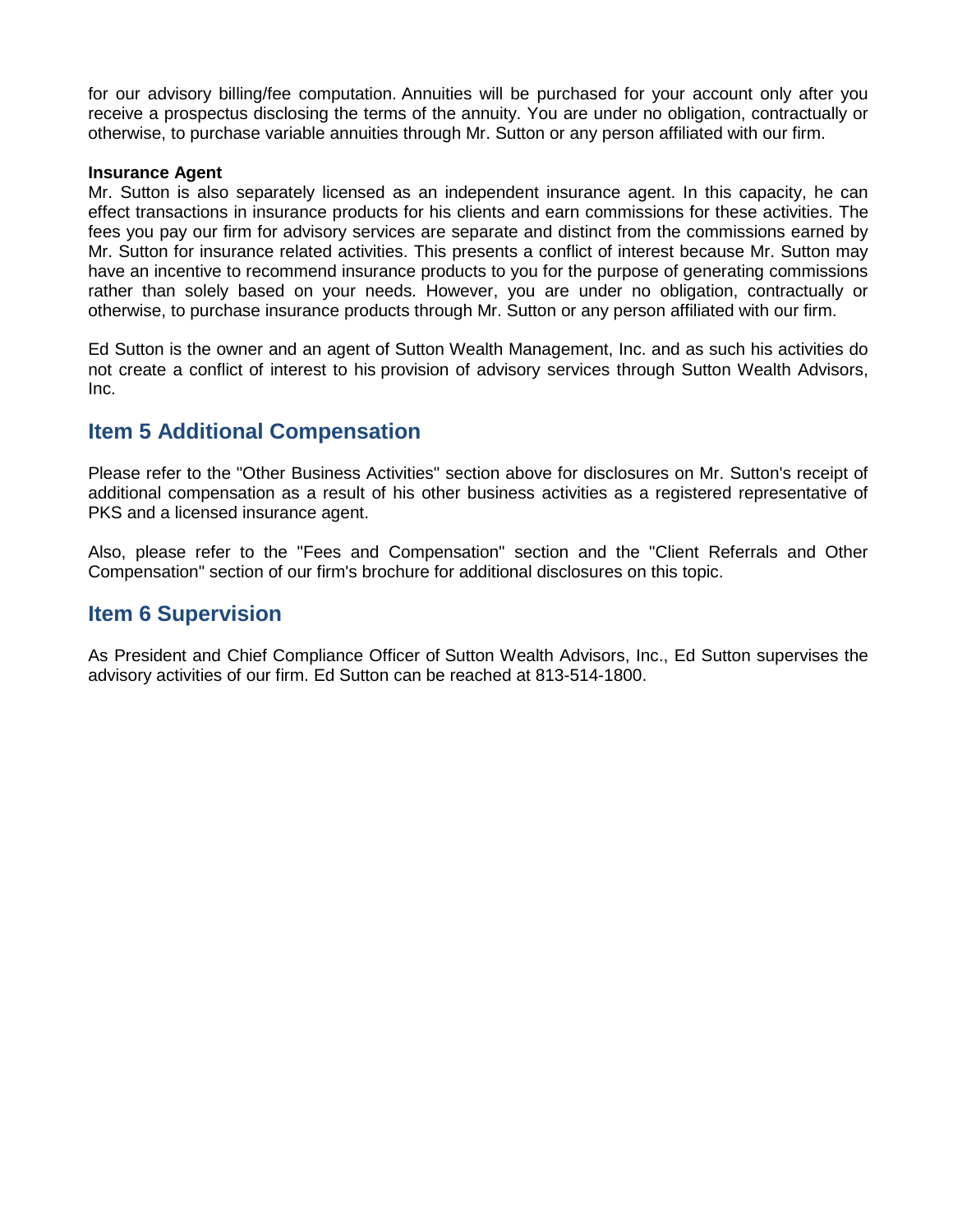for our advisory billing/fee computation. Annuities will be purchased for your account only after you receive a prospectus disclosing the terms of the annuity. You are under no obligation, contractually or otherwise, to purchase variable annuities through Mr. Sutton or any person affiliated with our firm.

#### **Insurance Agent**

Mr. Sutton is also separately licensed as an independent insurance agent. In this capacity, he can effect transactions in insurance products for his clients and earn commissions for these activities. The fees you pay our firm for advisory services are separate and distinct from the commissions earned by Mr. Sutton for insurance related activities. This presents a conflict of interest because Mr. Sutton may have an incentive to recommend insurance products to you for the purpose of generating commissions rather than solely based on your needs. However, you are under no obligation, contractually or otherwise, to purchase insurance products through Mr. Sutton or any person affiliated with our firm.

Ed Sutton is the owner and an agent of Sutton Wealth Management, Inc. and as such his activities do not create a conflict of interest to his provision of advisory services through Sutton Wealth Advisors, Inc.

## **Item 5 Additional Compensation**

Please refer to the "Other Business Activities" section above for disclosures on Mr. Sutton's receipt of additional compensation as a result of his other business activities as a registered representative of PKS and a licensed insurance agent.

Also, please refer to the "Fees and Compensation" section and the "Client Referrals and Other Compensation" section of our firm's brochure for additional disclosures on this topic.

### **Item 6 Supervision**

As President and Chief Compliance Officer of Sutton Wealth Advisors, Inc., Ed Sutton supervises the advisory activities of our firm. Ed Sutton can be reached at 813-514-1800.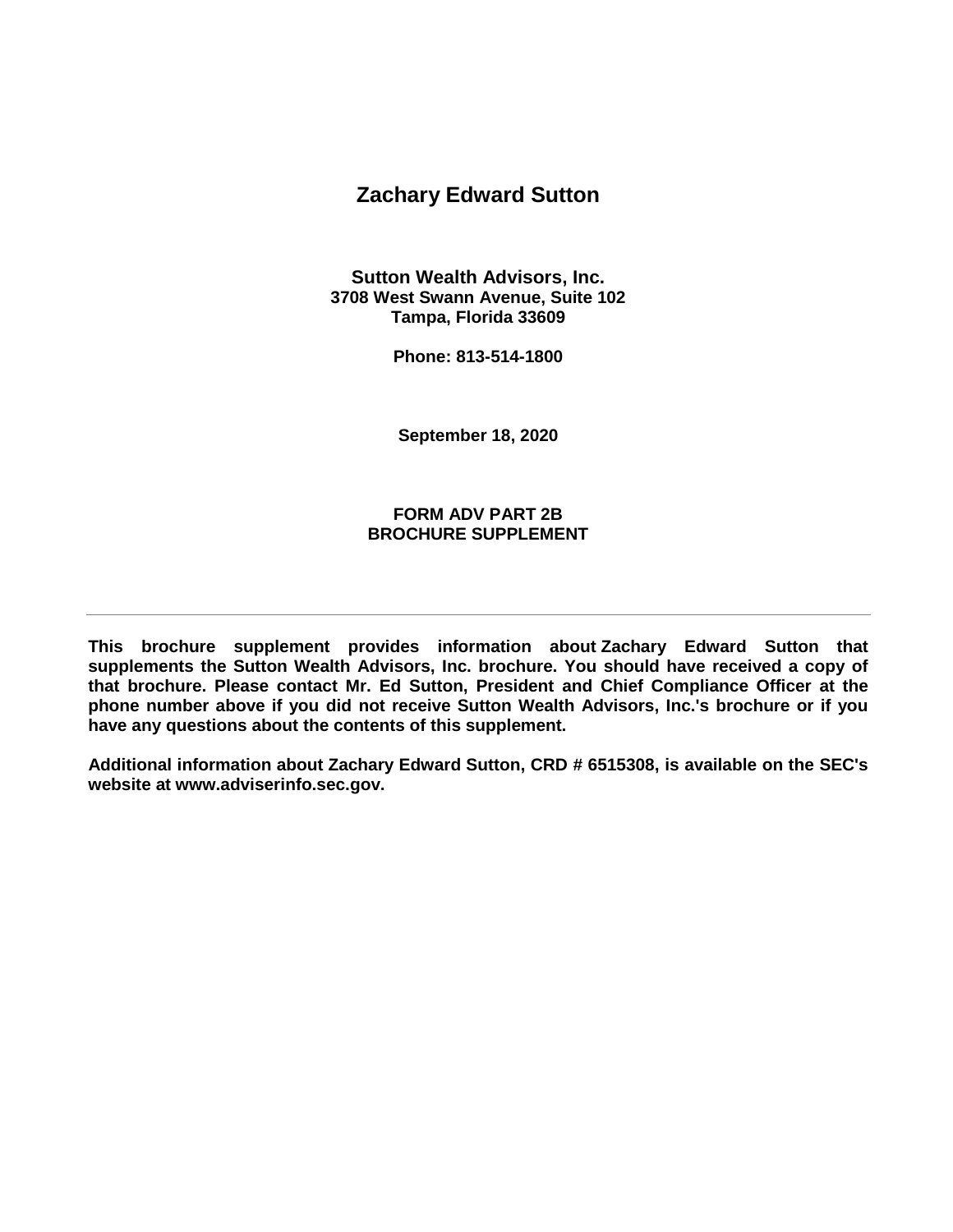## **Zachary Edward Sutton**

**Sutton Wealth Advisors, Inc. 3708 West Swann Avenue, Suite 102 Tampa, Florida 33609**

**Phone: 813-514-1800**

**September 18, 2020**

### **FORM ADV PART 2B BROCHURE SUPPLEMENT**

**This brochure supplement provides information about Zachary Edward Sutton that supplements the Sutton Wealth Advisors, Inc. brochure. You should have received a copy of that brochure. Please contact Mr. Ed Sutton, President and Chief Compliance Officer at the phone number above if you did not receive Sutton Wealth Advisors, Inc.'s brochure or if you have any questions about the contents of this supplement.** 

**Additional information about Zachary Edward Sutton, CRD # 6515308, is available on the SEC's website at www.adviserinfo.sec.gov.**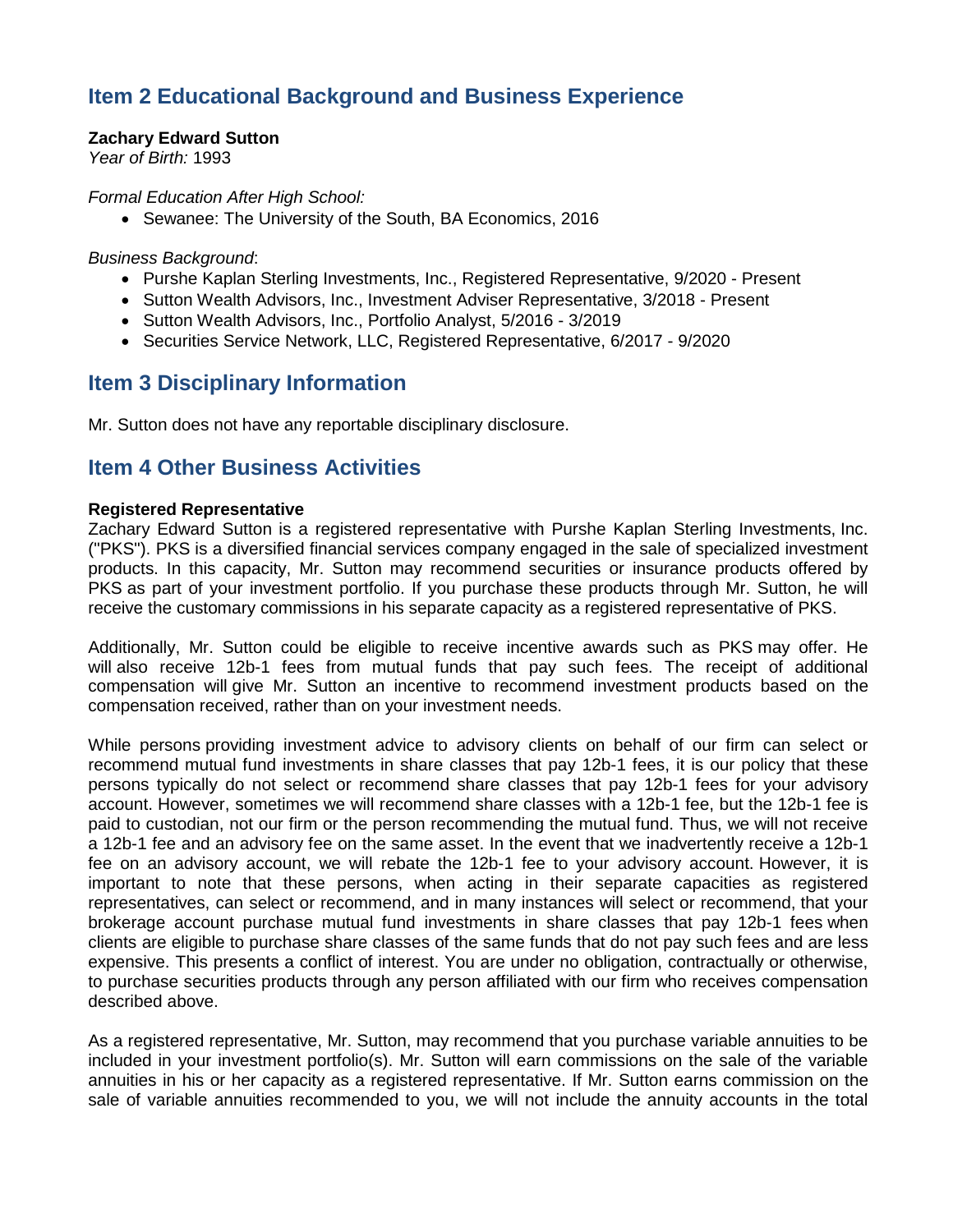# **Item 2 Educational Background and Business Experience**

### **Zachary Edward Sutton**

*Year of Birth:* 1993

*Formal Education After High School:*

• Sewanee: The University of the South, BA Economics, 2016

*Business Background*:

- Purshe Kaplan Sterling Investments, Inc., Registered Representative, 9/2020 Present
- Sutton Wealth Advisors, Inc., Investment Adviser Representative, 3/2018 Present
- Sutton Wealth Advisors, Inc., Portfolio Analyst, 5/2016 3/2019
- Securities Service Network, LLC, Registered Representative, 6/2017 9/2020

## **Item 3 Disciplinary Information**

Mr. Sutton does not have any reportable disciplinary disclosure.

### **Item 4 Other Business Activities**

#### **Registered Representative**

Zachary Edward Sutton is a registered representative with Purshe Kaplan Sterling Investments, Inc. ("PKS"). PKS is a diversified financial services company engaged in the sale of specialized investment products. In this capacity, Mr. Sutton may recommend securities or insurance products offered by PKS as part of your investment portfolio. If you purchase these products through Mr. Sutton, he will receive the customary commissions in his separate capacity as a registered representative of PKS.

Additionally, Mr. Sutton could be eligible to receive incentive awards such as PKS may offer. He will also receive 12b-1 fees from mutual funds that pay such fees. The receipt of additional compensation will give Mr. Sutton an incentive to recommend investment products based on the compensation received, rather than on your investment needs.

While persons providing investment advice to advisory clients on behalf of our firm can select or recommend mutual fund investments in share classes that pay 12b-1 fees, it is our policy that these persons typically do not select or recommend share classes that pay 12b-1 fees for your advisory account. However, sometimes we will recommend share classes with a 12b-1 fee, but the 12b-1 fee is paid to custodian, not our firm or the person recommending the mutual fund. Thus, we will not receive a 12b-1 fee and an advisory fee on the same asset. In the event that we inadvertently receive a 12b-1 fee on an advisory account, we will rebate the 12b-1 fee to your advisory account. However, it is important to note that these persons, when acting in their separate capacities as registered representatives, can select or recommend, and in many instances will select or recommend, that your brokerage account purchase mutual fund investments in share classes that pay 12b-1 fees when clients are eligible to purchase share classes of the same funds that do not pay such fees and are less expensive. This presents a conflict of interest. You are under no obligation, contractually or otherwise, to purchase securities products through any person affiliated with our firm who receives compensation described above.

As a registered representative, Mr. Sutton, may recommend that you purchase variable annuities to be included in your investment portfolio(s). Mr. Sutton will earn commissions on the sale of the variable annuities in his or her capacity as a registered representative. If Mr. Sutton earns commission on the sale of variable annuities recommended to you, we will not include the annuity accounts in the total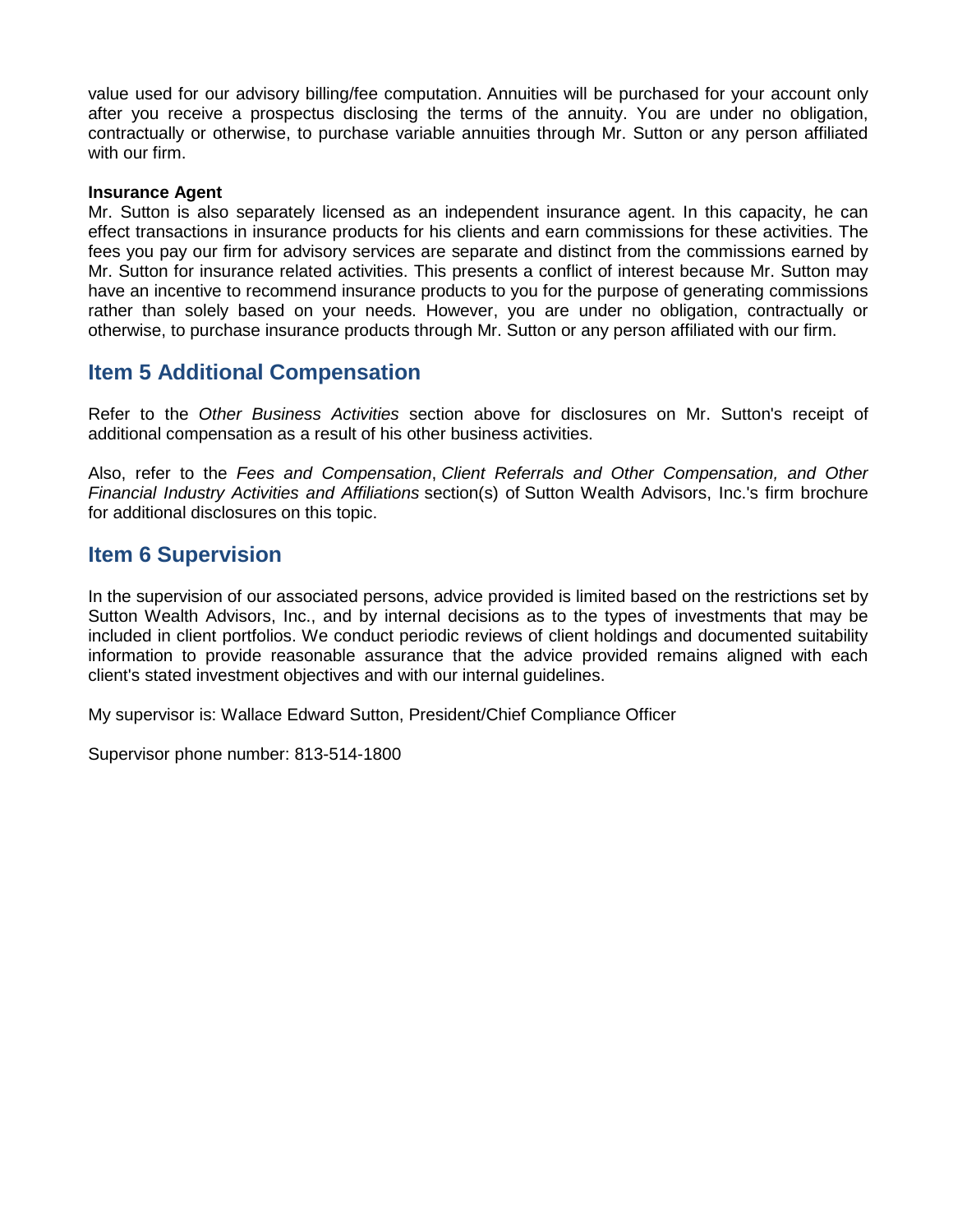value used for our advisory billing/fee computation. Annuities will be purchased for your account only after you receive a prospectus disclosing the terms of the annuity. You are under no obligation, contractually or otherwise, to purchase variable annuities through Mr. Sutton or any person affiliated with our firm.

#### **Insurance Agent**

Mr. Sutton is also separately licensed as an independent insurance agent. In this capacity, he can effect transactions in insurance products for his clients and earn commissions for these activities. The fees you pay our firm for advisory services are separate and distinct from the commissions earned by Mr. Sutton for insurance related activities. This presents a conflict of interest because Mr. Sutton may have an incentive to recommend insurance products to you for the purpose of generating commissions rather than solely based on your needs. However, you are under no obligation, contractually or otherwise, to purchase insurance products through Mr. Sutton or any person affiliated with our firm.

### **Item 5 Additional Compensation**

Refer to the *Other Business Activities* section above for disclosures on Mr. Sutton's receipt of additional compensation as a result of his other business activities.

Also, refer to the *Fees and Compensation*, *Client Referrals and Other Compensation, and Other Financial Industry Activities and Affiliations* section(s) of Sutton Wealth Advisors, Inc.'s firm brochure for additional disclosures on this topic.

### **Item 6 Supervision**

In the supervision of our associated persons, advice provided is limited based on the restrictions set by Sutton Wealth Advisors, Inc., and by internal decisions as to the types of investments that may be included in client portfolios. We conduct periodic reviews of client holdings and documented suitability information to provide reasonable assurance that the advice provided remains aligned with each client's stated investment objectives and with our internal guidelines.

My supervisor is: Wallace Edward Sutton, President/Chief Compliance Officer

Supervisor phone number: 813-514-1800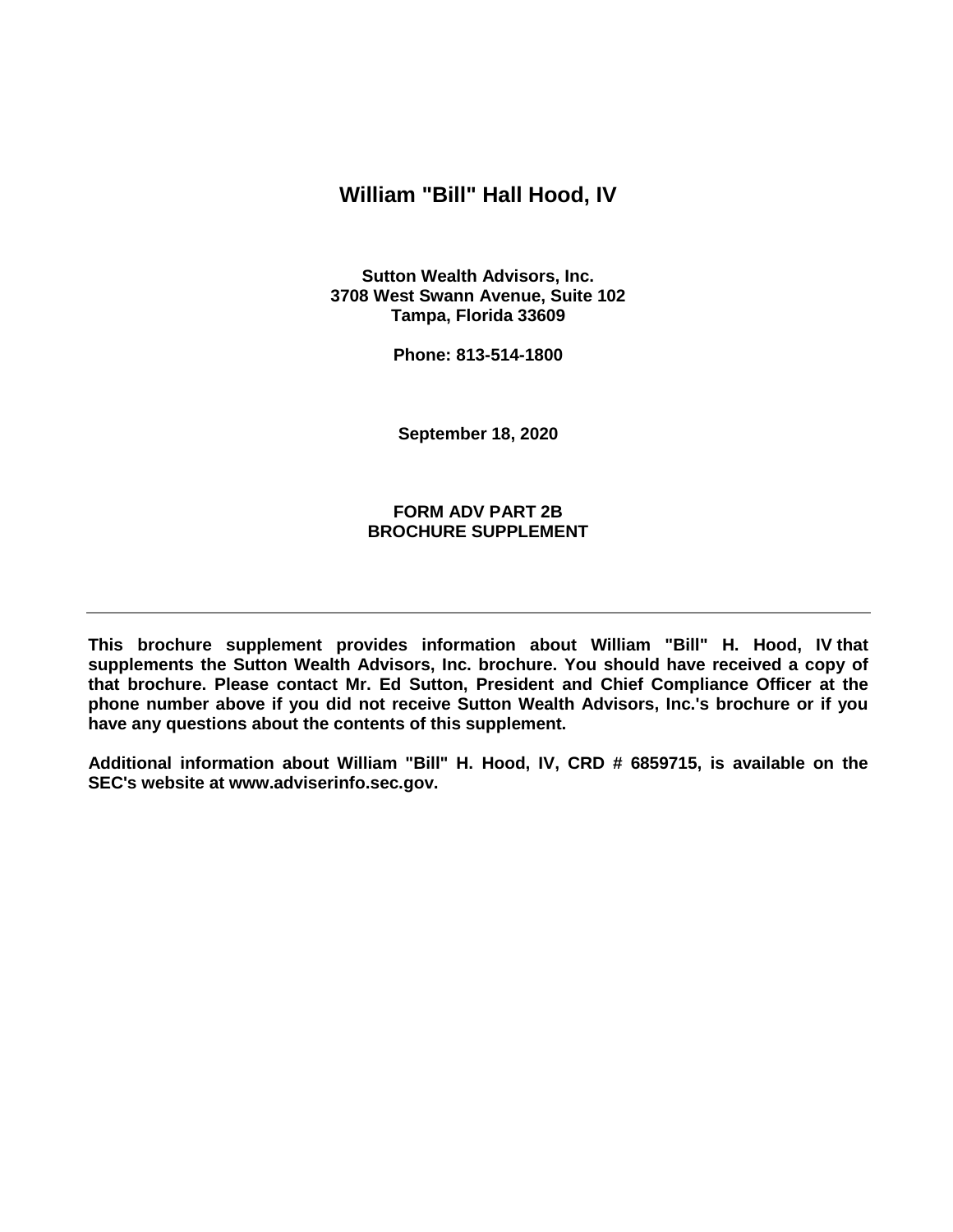### **William "Bill" Hall Hood, IV**

**Sutton Wealth Advisors, Inc. 3708 West Swann Avenue, Suite 102 Tampa, Florida 33609**

**Phone: 813-514-1800**

**September 18, 2020**

#### **FORM ADV PART 2B BROCHURE SUPPLEMENT**

**This brochure supplement provides information about William "Bill" H. Hood, IV that supplements the Sutton Wealth Advisors, Inc. brochure. You should have received a copy of that brochure. Please contact Mr. Ed Sutton, President and Chief Compliance Officer at the phone number above if you did not receive Sutton Wealth Advisors, Inc.'s brochure or if you have any questions about the contents of this supplement.** 

**Additional information about William "Bill" H. Hood, IV, CRD # 6859715, is available on the SEC's website at www.adviserinfo.sec.gov.**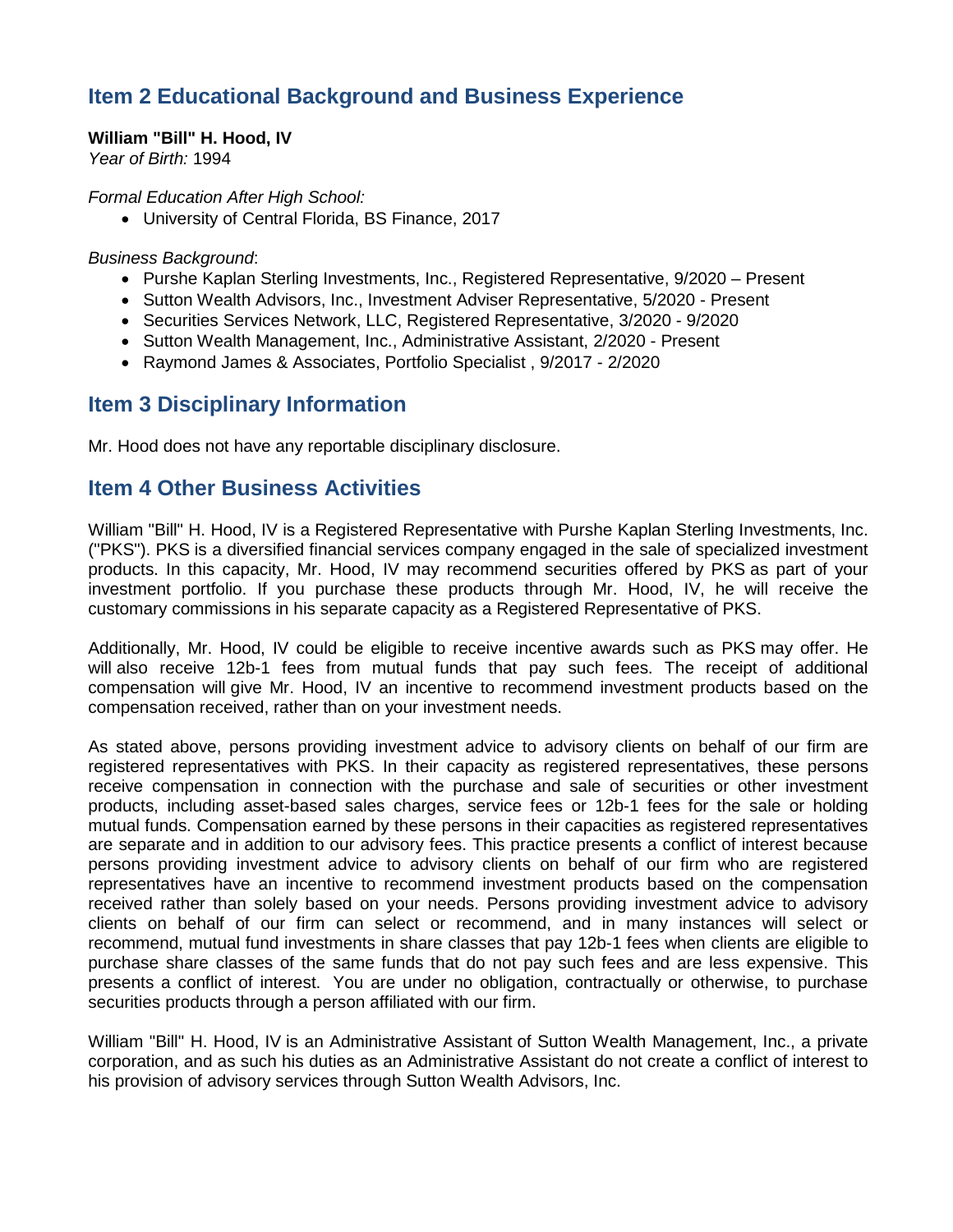# **Item 2 Educational Background and Business Experience**

#### **William "Bill" H. Hood, IV**

*Year of Birth:* 1994

*Formal Education After High School:*

• University of Central Florida, BS Finance, 2017

*Business Background*:

- Purshe Kaplan Sterling Investments, Inc., Registered Representative, 9/2020 Present
- Sutton Wealth Advisors, Inc., Investment Adviser Representative, 5/2020 Present
- Securities Services Network, LLC, Registered Representative, 3/2020 9/2020
- Sutton Wealth Management, Inc., Administrative Assistant, 2/2020 Present
- Raymond James & Associates, Portfolio Specialist , 9/2017 2/2020

### **Item 3 Disciplinary Information**

Mr. Hood does not have any reportable disciplinary disclosure.

## **Item 4 Other Business Activities**

William "Bill" H. Hood, IV is a Registered Representative with Purshe Kaplan Sterling Investments, Inc. ("PKS"). PKS is a diversified financial services company engaged in the sale of specialized investment products. In this capacity, Mr. Hood, IV may recommend securities offered by PKS as part of your investment portfolio. If you purchase these products through Mr. Hood, IV, he will receive the customary commissions in his separate capacity as a Registered Representative of PKS.

Additionally, Mr. Hood, IV could be eligible to receive incentive awards such as PKS may offer. He will also receive 12b-1 fees from mutual funds that pay such fees. The receipt of additional compensation will give Mr. Hood, IV an incentive to recommend investment products based on the compensation received, rather than on your investment needs.

As stated above, persons providing investment advice to advisory clients on behalf of our firm are registered representatives with PKS. In their capacity as registered representatives, these persons receive compensation in connection with the purchase and sale of securities or other investment products, including asset-based sales charges, service fees or 12b-1 fees for the sale or holding mutual funds. Compensation earned by these persons in their capacities as registered representatives are separate and in addition to our advisory fees. This practice presents a conflict of interest because persons providing investment advice to advisory clients on behalf of our firm who are registered representatives have an incentive to recommend investment products based on the compensation received rather than solely based on your needs. Persons providing investment advice to advisory clients on behalf of our firm can select or recommend, and in many instances will select or recommend, mutual fund investments in share classes that pay 12b-1 fees when clients are eligible to purchase share classes of the same funds that do not pay such fees and are less expensive. This presents a conflict of interest. You are under no obligation, contractually or otherwise, to purchase securities products through a person affiliated with our firm.

William "Bill" H. Hood, IV is an Administrative Assistant of Sutton Wealth Management, Inc., a private corporation, and as such his duties as an Administrative Assistant do not create a conflict of interest to his provision of advisory services through Sutton Wealth Advisors, Inc.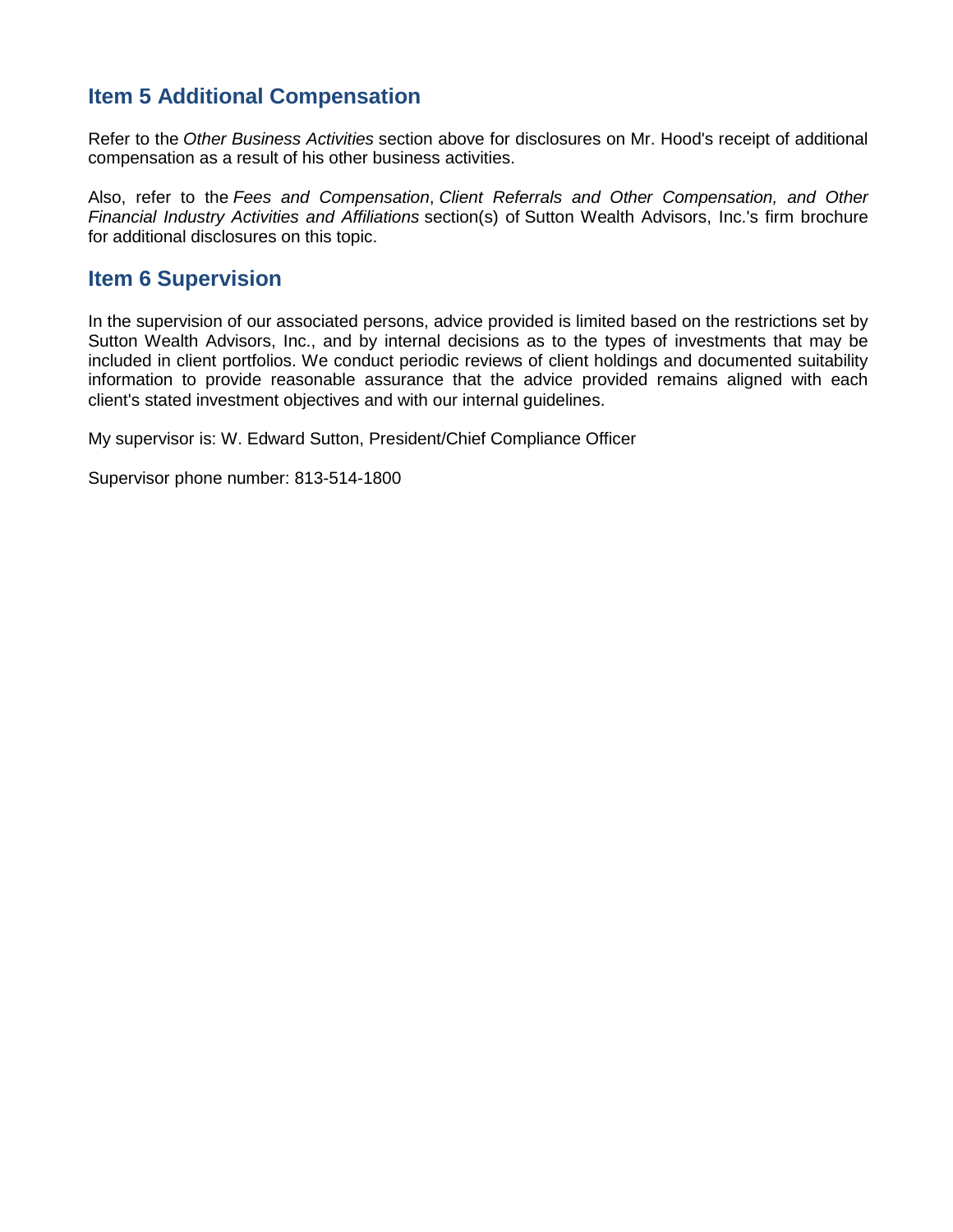# **Item 5 Additional Compensation**

Refer to the *Other Business Activities* section above for disclosures on Mr. Hood's receipt of additional compensation as a result of his other business activities.

Also, refer to the *Fees and Compensation*, *Client Referrals and Other Compensation, and Other Financial Industry Activities and Affiliations* section(s) of Sutton Wealth Advisors, Inc.'s firm brochure for additional disclosures on this topic.

## **Item 6 Supervision**

In the supervision of our associated persons, advice provided is limited based on the restrictions set by Sutton Wealth Advisors, Inc., and by internal decisions as to the types of investments that may be included in client portfolios. We conduct periodic reviews of client holdings and documented suitability information to provide reasonable assurance that the advice provided remains aligned with each client's stated investment objectives and with our internal guidelines.

My supervisor is: W. Edward Sutton, President/Chief Compliance Officer

Supervisor phone number: 813-514-1800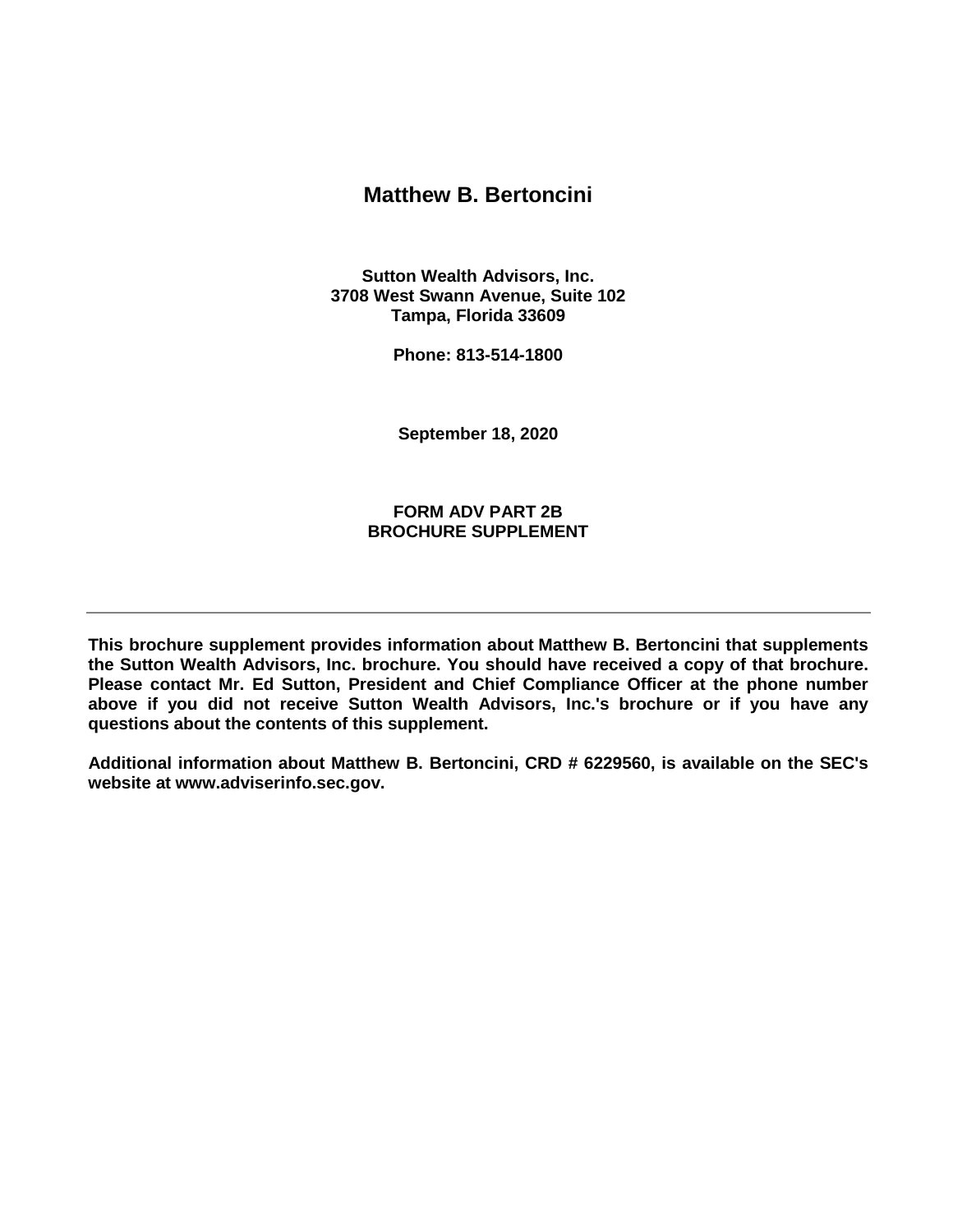### **Matthew B. Bertoncini**

**Sutton Wealth Advisors, Inc. 3708 West Swann Avenue, Suite 102 Tampa, Florida 33609**

**Phone: 813-514-1800**

**September 18, 2020**

**FORM ADV PART 2B BROCHURE SUPPLEMENT**

**This brochure supplement provides information about Matthew B. Bertoncini that supplements the Sutton Wealth Advisors, Inc. brochure. You should have received a copy of that brochure. Please contact Mr. Ed Sutton, President and Chief Compliance Officer at the phone number above if you did not receive Sutton Wealth Advisors, Inc.'s brochure or if you have any questions about the contents of this supplement.** 

**Additional information about Matthew B. Bertoncini, CRD # 6229560, is available on the SEC's website at www.adviserinfo.sec.gov.**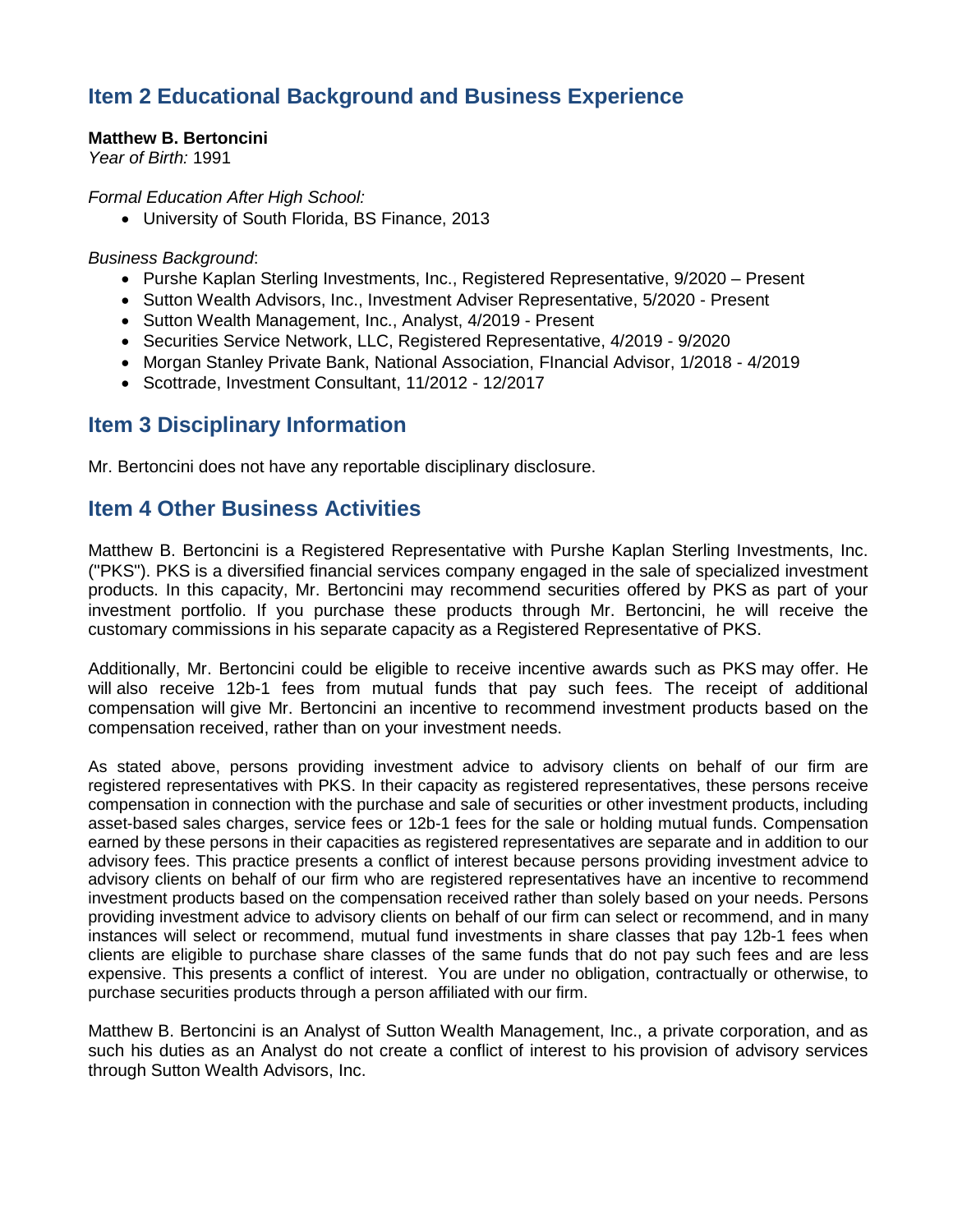# **Item 2 Educational Background and Business Experience**

### **Matthew B. Bertoncini**

*Year of Birth:* 1991

*Formal Education After High School:*

• University of South Florida, BS Finance, 2013

#### *Business Background*:

- Purshe Kaplan Sterling Investments, Inc., Registered Representative, 9/2020 Present
- Sutton Wealth Advisors, Inc., Investment Adviser Representative, 5/2020 Present
- Sutton Wealth Management, Inc., Analyst, 4/2019 Present
- Securities Service Network, LLC, Registered Representative, 4/2019 9/2020
- Morgan Stanley Private Bank, National Association, FInancial Advisor, 1/2018 4/2019
- Scottrade, Investment Consultant, 11/2012 12/2017

## **Item 3 Disciplinary Information**

Mr. Bertoncini does not have any reportable disciplinary disclosure.

### **Item 4 Other Business Activities**

Matthew B. Bertoncini is a Registered Representative with Purshe Kaplan Sterling Investments, Inc. ("PKS"). PKS is a diversified financial services company engaged in the sale of specialized investment products. In this capacity, Mr. Bertoncini may recommend securities offered by PKS as part of your investment portfolio. If you purchase these products through Mr. Bertoncini, he will receive the customary commissions in his separate capacity as a Registered Representative of PKS.

Additionally, Mr. Bertoncini could be eligible to receive incentive awards such as PKS may offer. He will also receive 12b-1 fees from mutual funds that pay such fees. The receipt of additional compensation will give Mr. Bertoncini an incentive to recommend investment products based on the compensation received, rather than on your investment needs.

As stated above, persons providing investment advice to advisory clients on behalf of our firm are registered representatives with PKS. In their capacity as registered representatives, these persons receive compensation in connection with the purchase and sale of securities or other investment products, including asset-based sales charges, service fees or 12b-1 fees for the sale or holding mutual funds. Compensation earned by these persons in their capacities as registered representatives are separate and in addition to our advisory fees. This practice presents a conflict of interest because persons providing investment advice to advisory clients on behalf of our firm who are registered representatives have an incentive to recommend investment products based on the compensation received rather than solely based on your needs. Persons providing investment advice to advisory clients on behalf of our firm can select or recommend, and in many instances will select or recommend, mutual fund investments in share classes that pay 12b-1 fees when clients are eligible to purchase share classes of the same funds that do not pay such fees and are less expensive. This presents a conflict of interest. You are under no obligation, contractually or otherwise, to purchase securities products through a person affiliated with our firm.

Matthew B. Bertoncini is an Analyst of Sutton Wealth Management, Inc., a private corporation, and as such his duties as an Analyst do not create a conflict of interest to his provision of advisory services through Sutton Wealth Advisors, Inc.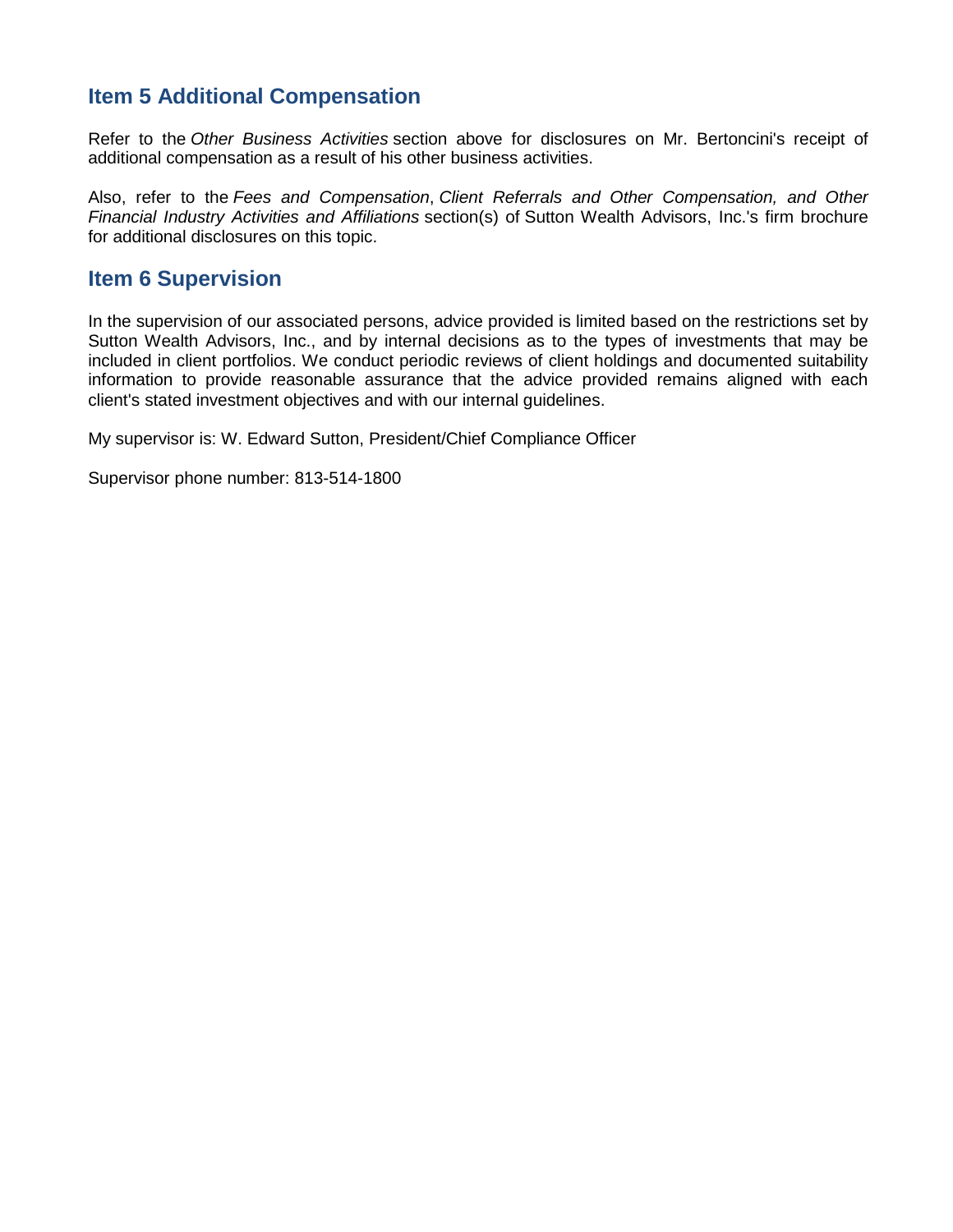# **Item 5 Additional Compensation**

Refer to the *Other Business Activities* section above for disclosures on Mr. Bertoncini's receipt of additional compensation as a result of his other business activities.

Also, refer to the *Fees and Compensation*, *Client Referrals and Other Compensation, and Other Financial Industry Activities and Affiliations* section(s) of Sutton Wealth Advisors, Inc.'s firm brochure for additional disclosures on this topic.

## **Item 6 Supervision**

In the supervision of our associated persons, advice provided is limited based on the restrictions set by Sutton Wealth Advisors, Inc., and by internal decisions as to the types of investments that may be included in client portfolios. We conduct periodic reviews of client holdings and documented suitability information to provide reasonable assurance that the advice provided remains aligned with each client's stated investment objectives and with our internal guidelines.

My supervisor is: W. Edward Sutton, President/Chief Compliance Officer

Supervisor phone number: 813-514-1800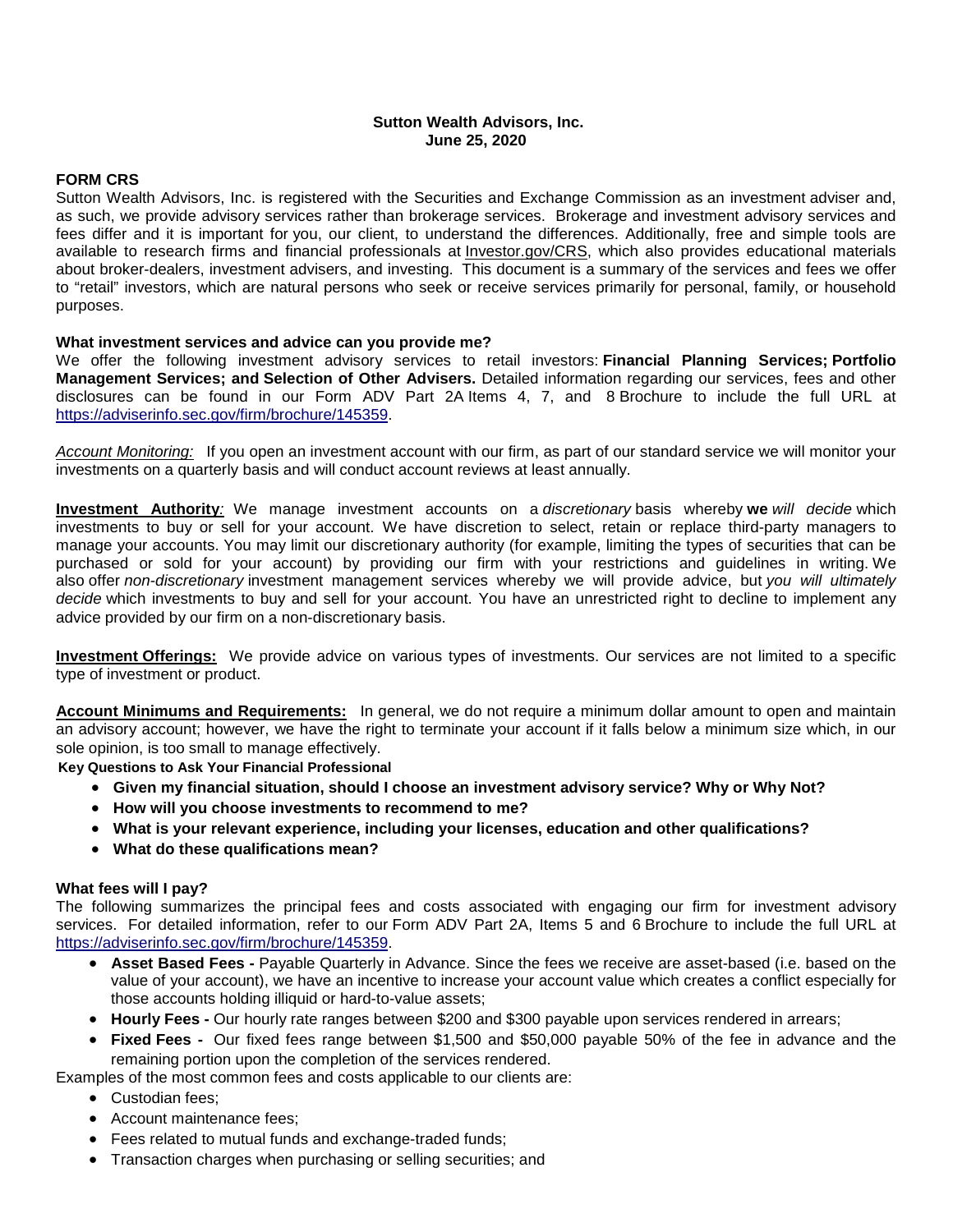#### **Sutton Wealth Advisors, Inc. June 25, 2020**

#### **FORM CRS**

Sutton Wealth Advisors, Inc. is registered with the Securities and Exchange Commission as an investment adviser and, as such, we provide advisory services rather than brokerage services. Brokerage and investment advisory services and fees differ and it is important for you, our client, to understand the differences. Additionally, free and simple tools are available to research firms and financial professionals at *Investor.gov/CRS*, which also provides educational materials about broker-dealers, investment advisers, and investing. This document is a summary of the services and fees we offer to "retail" investors, which are natural persons who seek or receive services primarily for personal, family, or household purposes.

#### **What investment services and advice can you provide me?**

We offer the following investment advisory services to retail investors: **Financial Planning Services; Portfolio Management Services; and Selection of Other Advisers.** Detailed information regarding our services, fees and other disclosures can be found in our Form ADV Part 2A Items 4, 7, and 8 Brochure to include the full URL at [https://adviserinfo.sec.gov/firm/brochure/145359.](https://adviserinfo.sec.gov/firm/brochure/145359)

*Account Monitoring:* If you open an investment account with our firm, as part of our standard service we will monitor your investments on a quarterly basis and will conduct account reviews at least annually.

**Investment Authority***:* We manage investment accounts on a *discretionary* basis whereby **we** *will decide* which investments to buy or sell for your account. We have discretion to select, retain or replace third-party managers to manage your accounts. You may limit our discretionary authority (for example, limiting the types of securities that can be purchased or sold for your account) by providing our firm with your restrictions and guidelines in writing. We also offer *non-discretionary* investment management services whereby we will provide advice, but *you will ultimately decide* which investments to buy and sell for your account. You have an unrestricted right to decline to implement any advice provided by our firm on a non-discretionary basis.

**Investment Offerings:** We provide advice on various types of investments. Our services are not limited to a specific type of investment or product.

**Account Minimums and Requirements:** In general, we do not require a minimum dollar amount to open and maintain an advisory account; however, we have the right to terminate your account if it falls below a minimum size which, in our sole opinion, is too small to manage effectively.

**Key Questions to Ask Your Financial Professional**

- **Given my financial situation, should I choose an investment advisory service? Why or Why Not?**
- **How will you choose investments to recommend to me?**
- **What is your relevant experience, including your licenses, education and other qualifications?**
- **What do these qualifications mean?**

#### **What fees will I pay?**

The following summarizes the principal fees and costs associated with engaging our firm for investment advisory services. For detailed information, refer to our Form ADV Part 2A, Items 5 and 6 Brochure to include the full URL at [https://adviserinfo.sec.gov/firm/brochure/145359.](https://adviserinfo.sec.gov/firm/brochure/145359)

- **Asset Based Fees -** Payable Quarterly in Advance. Since the fees we receive are asset-based (i.e. based on the value of your account), we have an incentive to increase your account value which creates a conflict especially for those accounts holding illiquid or hard-to-value assets;
- **Hourly Fees -** Our hourly rate ranges between \$200 and \$300 payable upon services rendered in arrears;
- **Fixed Fees -** Our fixed fees range between \$1,500 and \$50,000 payable 50% of the fee in advance and the remaining portion upon the completion of the services rendered.
- Examples of the most common fees and costs applicable to our clients are:
	- Custodian fees;
	- Account maintenance fees;
	- Fees related to mutual funds and exchange-traded funds;
	- Transaction charges when purchasing or selling securities; and